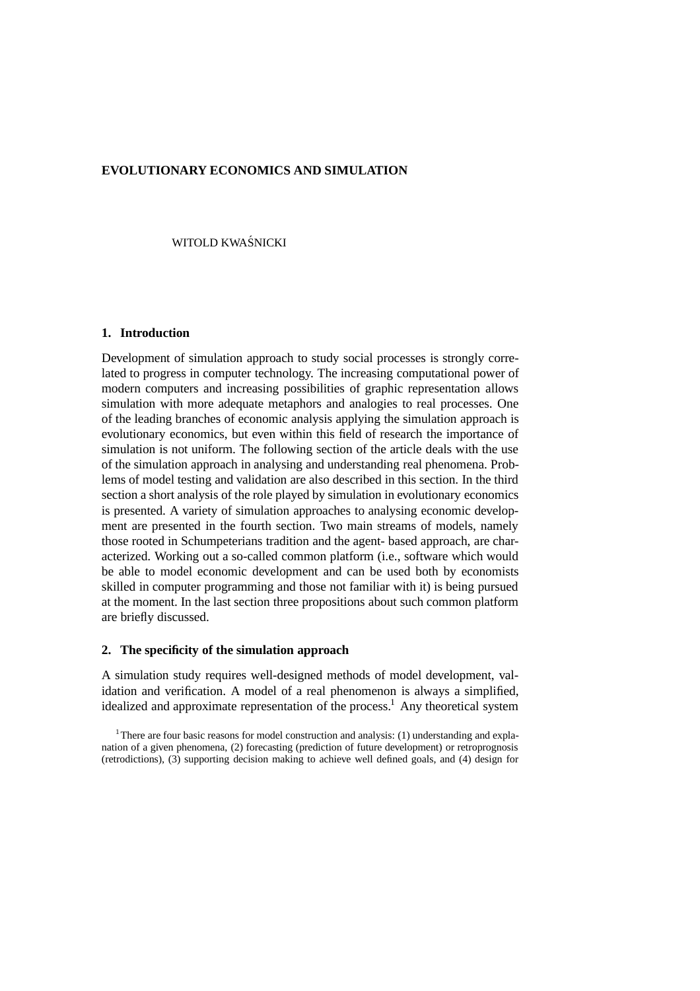# **EVOLUTIONARY ECONOMICS AND SIMULATION**

# WITOLD KWAŚNICKI

### **1. Introduction**

Development of simulation approach to study social processes is strongly correlated to progress in computer technology. The increasing computational power of modern computers and increasing possibilities of graphic representation allows simulation with more adequate metaphors and analogies to real processes. One of the leading branches of economic analysis applying the simulation approach is evolutionary economics, but even within this field of research the importance of simulation is not uniform. The following section of the article deals with the use of the simulation approach in analysing and understanding real phenomena. Problems of model testing and validation are also described in this section. In the third section a short analysis of the role played by simulation in evolutionary economics is presented. A variety of simulation approaches to analysing economic development are presented in the fourth section. Two main streams of models, namely those rooted in Schumpeterians tradition and the agent- based approach, are characterized. Working out a so-called common platform (i.e., software which would be able to model economic development and can be used both by economists skilled in computer programming and those not familiar with it) is being pursued at the moment. In the last section three propositions about such common platform are briefly discussed.

# **2. The specificity of the simulation approach**

A simulation study requires well-designed methods of model development, validation and verification. A model of a real phenomenon is always a simplified, idealized and approximate representation of the process.<sup>1</sup> Any theoretical system

<sup>1</sup> There are four basic reasons for model construction and analysis: (1) understanding and explanation of a given phenomena, (2) forecasting (prediction of future development) or retroprognosis (retrodictions), (3) supporting decision making to achieve well defined goals, and (4) design for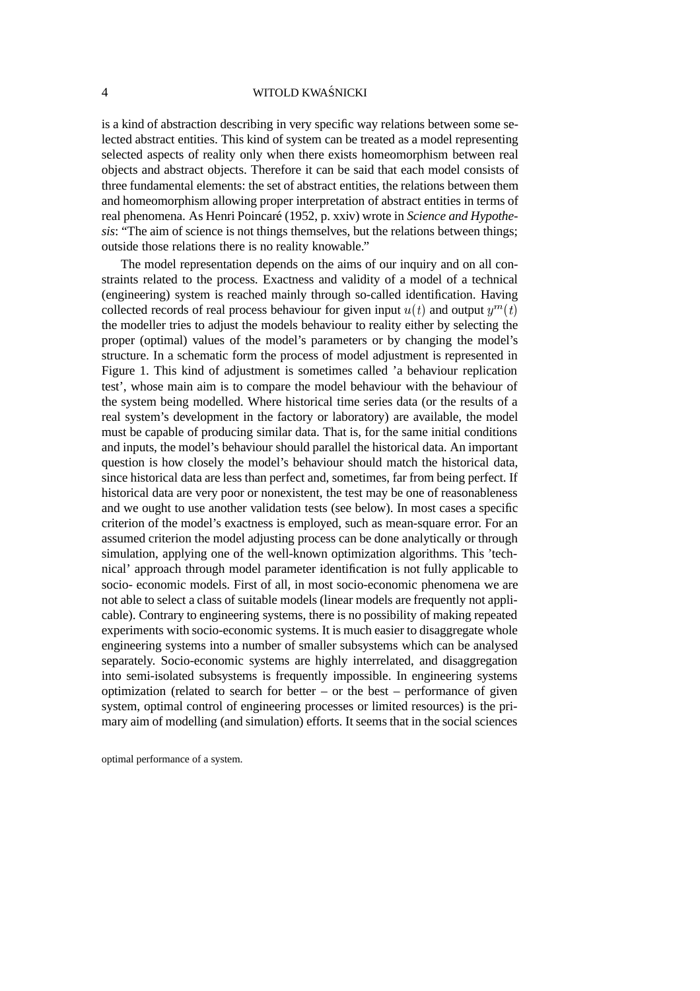### 4 **WITOLD KWAŚNICKI**

is a kind of abstraction describing in very specific way relations between some selected abstract entities. This kind of system can be treated as a model representing selected aspects of reality only when there exists homeomorphism between real objects and abstract objects. Therefore it can be said that each model consists of three fundamental elements: the set of abstract entities, the relations between them and homeomorphism allowing proper interpretation of abstract entities in terms of real phenomena. As Henri Poincaré (1952, p. xxiv) wrote in *Science and Hypothesis*: "The aim of science is not things themselves, but the relations between things; outside those relations there is no reality knowable."

The model representation depends on the aims of our inquiry and on all constraints related to the process. Exactness and validity of a model of a technical (engineering) system is reached mainly through so-called identification. Having collected records of real process behaviour for given input  $u(t)$  and output  $y^m(t)$ the modeller tries to adjust the models behaviour to reality either by selecting the proper (optimal) values of the model's parameters or by changing the model's structure. In a schematic form the process of model adjustment is represented in Figure 1. This kind of adjustment is sometimes called 'a behaviour replication test', whose main aim is to compare the model behaviour with the behaviour of the system being modelled. Where historical time series data (or the results of a real system's development in the factory or laboratory) are available, the model must be capable of producing similar data. That is, for the same initial conditions and inputs, the model's behaviour should parallel the historical data. An important question is how closely the model's behaviour should match the historical data, since historical data are less than perfect and, sometimes, far from being perfect. If historical data are very poor or nonexistent, the test may be one of reasonableness and we ought to use another validation tests (see below). In most cases a specific criterion of the model's exactness is employed, such as mean-square error. For an assumed criterion the model adjusting process can be done analytically or through simulation, applying one of the well-known optimization algorithms. This 'technical' approach through model parameter identification is not fully applicable to socio- economic models. First of all, in most socio-economic phenomena we are not able to select a class of suitable models (linear models are frequently not applicable). Contrary to engineering systems, there is no possibility of making repeated experiments with socio-economic systems. It is much easier to disaggregate whole engineering systems into a number of smaller subsystems which can be analysed separately. Socio-economic systems are highly interrelated, and disaggregation into semi-isolated subsystems is frequently impossible. In engineering systems optimization (related to search for better – or the best – performance of given system, optimal control of engineering processes or limited resources) is the primary aim of modelling (and simulation) efforts. It seems that in the social sciences

optimal performance of a system.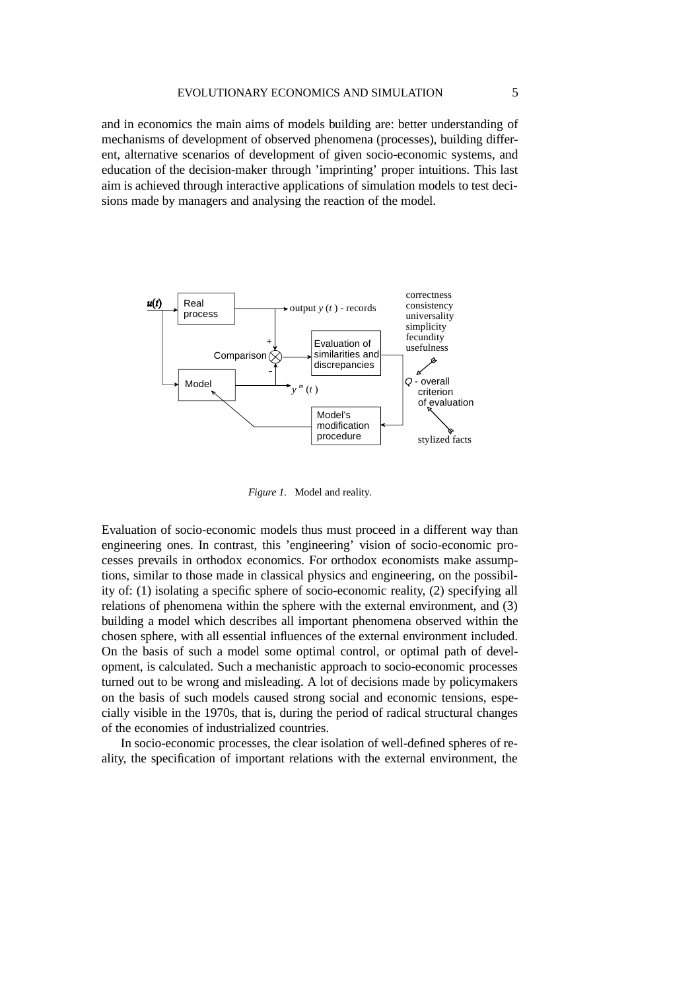and in economics the main aims of models building are: better understanding of mechanisms of development of observed phenomena (processes), building different, alternative scenarios of development of given socio-economic systems, and education of the decision-maker through 'imprinting' proper intuitions. This last aim is achieved through interactive applications of simulation models to test decisions made by managers and analysing the reaction of the model.



*Figure 1.* Model and reality.

Evaluation of socio-economic models thus must proceed in a different way than engineering ones. In contrast, this 'engineering' vision of socio-economic processes prevails in orthodox economics. For orthodox economists make assumptions, similar to those made in classical physics and engineering, on the possibility of: (1) isolating a specific sphere of socio-economic reality, (2) specifying all relations of phenomena within the sphere with the external environment, and (3) building a model which describes all important phenomena observed within the chosen sphere, with all essential influences of the external environment included. On the basis of such a model some optimal control, or optimal path of development, is calculated. Such a mechanistic approach to socio-economic processes turned out to be wrong and misleading. A lot of decisions made by policymakers on the basis of such models caused strong social and economic tensions, especially visible in the 1970s, that is, during the period of radical structural changes of the economies of industrialized countries.

In socio-economic processes, the clear isolation of well-defined spheres of reality, the specification of important relations with the external environment, the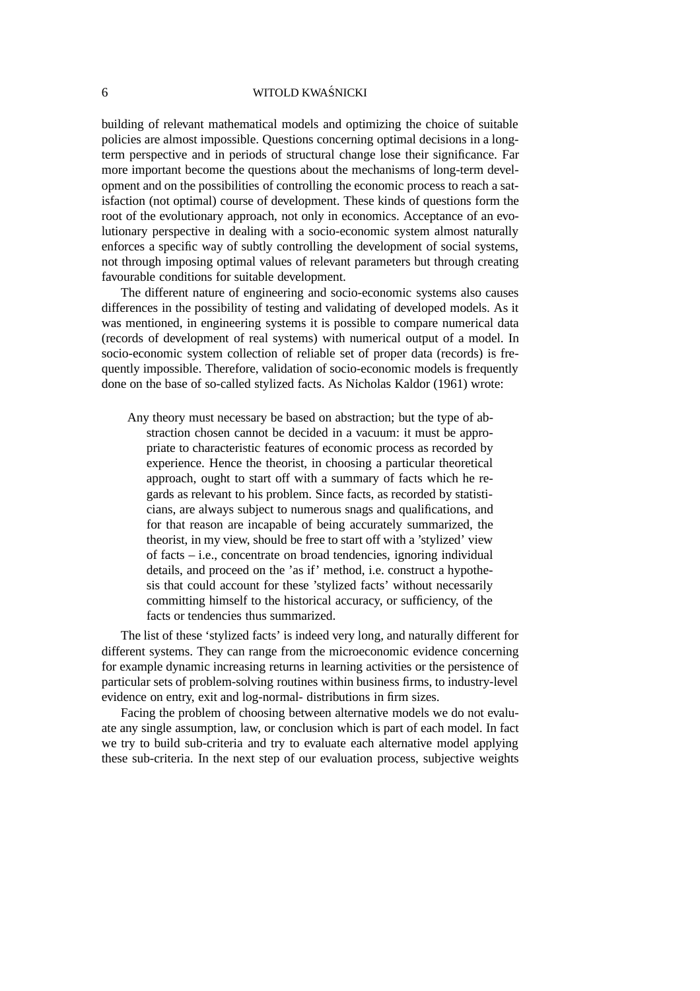building of relevant mathematical models and optimizing the choice of suitable policies are almost impossible. Questions concerning optimal decisions in a longterm perspective and in periods of structural change lose their significance. Far more important become the questions about the mechanisms of long-term development and on the possibilities of controlling the economic process to reach a satisfaction (not optimal) course of development. These kinds of questions form the root of the evolutionary approach, not only in economics. Acceptance of an evolutionary perspective in dealing with a socio-economic system almost naturally enforces a specific way of subtly controlling the development of social systems, not through imposing optimal values of relevant parameters but through creating favourable conditions for suitable development.

The different nature of engineering and socio-economic systems also causes differences in the possibility of testing and validating of developed models. As it was mentioned, in engineering systems it is possible to compare numerical data (records of development of real systems) with numerical output of a model. In socio-economic system collection of reliable set of proper data (records) is frequently impossible. Therefore, validation of socio-economic models is frequently done on the base of so-called stylized facts. As Nicholas Kaldor (1961) wrote:

Any theory must necessary be based on abstraction; but the type of abstraction chosen cannot be decided in a vacuum: it must be appropriate to characteristic features of economic process as recorded by experience. Hence the theorist, in choosing a particular theoretical approach, ought to start off with a summary of facts which he regards as relevant to his problem. Since facts, as recorded by statisticians, are always subject to numerous snags and qualifications, and for that reason are incapable of being accurately summarized, the theorist, in my view, should be free to start off with a 'stylized' view of facts – i.e., concentrate on broad tendencies, ignoring individual details, and proceed on the 'as if' method, i.e. construct a hypothesis that could account for these 'stylized facts' without necessarily committing himself to the historical accuracy, or sufficiency, of the facts or tendencies thus summarized.

The list of these 'stylized facts' is indeed very long, and naturally different for different systems. They can range from the microeconomic evidence concerning for example dynamic increasing returns in learning activities or the persistence of particular sets of problem-solving routines within business firms, to industry-level evidence on entry, exit and log-normal- distributions in firm sizes.

Facing the problem of choosing between alternative models we do not evaluate any single assumption, law, or conclusion which is part of each model. In fact we try to build sub-criteria and try to evaluate each alternative model applying these sub-criteria. In the next step of our evaluation process, subjective weights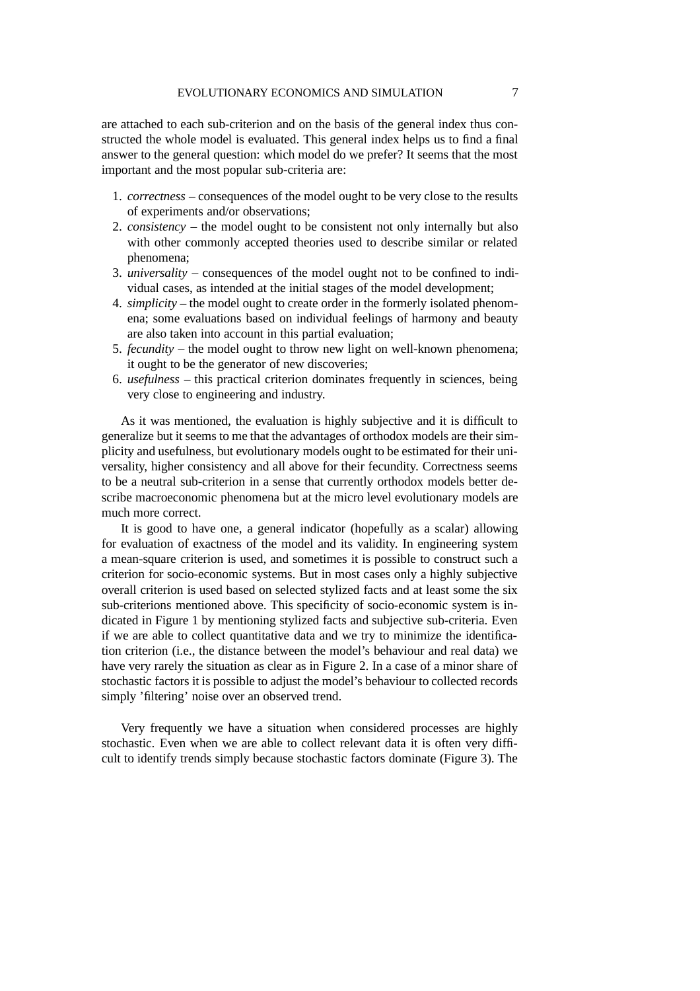are attached to each sub-criterion and on the basis of the general index thus constructed the whole model is evaluated. This general index helps us to find a final answer to the general question: which model do we prefer? It seems that the most important and the most popular sub-criteria are:

- 1. *correctness* consequences of the model ought to be very close to the results of experiments and/or observations;
- 2. *consistency* the model ought to be consistent not only internally but also with other commonly accepted theories used to describe similar or related phenomena;
- 3. *universality* consequences of the model ought not to be confined to individual cases, as intended at the initial stages of the model development;
- 4. *simplicity* the model ought to create order in the formerly isolated phenomena; some evaluations based on individual feelings of harmony and beauty are also taken into account in this partial evaluation;
- 5. *fecundity* the model ought to throw new light on well-known phenomena; it ought to be the generator of new discoveries;
- 6. *usefulness* this practical criterion dominates frequently in sciences, being very close to engineering and industry.

As it was mentioned, the evaluation is highly subjective and it is difficult to generalize but it seems to me that the advantages of orthodox models are their simplicity and usefulness, but evolutionary models ought to be estimated for their universality, higher consistency and all above for their fecundity. Correctness seems to be a neutral sub-criterion in a sense that currently orthodox models better describe macroeconomic phenomena but at the micro level evolutionary models are much more correct.

It is good to have one, a general indicator (hopefully as a scalar) allowing for evaluation of exactness of the model and its validity. In engineering system a mean-square criterion is used, and sometimes it is possible to construct such a criterion for socio-economic systems. But in most cases only a highly subjective overall criterion is used based on selected stylized facts and at least some the six sub-criterions mentioned above. This specificity of socio-economic system is indicated in Figure 1 by mentioning stylized facts and subjective sub-criteria. Even if we are able to collect quantitative data and we try to minimize the identification criterion (i.e., the distance between the model's behaviour and real data) we have very rarely the situation as clear as in Figure 2. In a case of a minor share of stochastic factors it is possible to adjust the model's behaviour to collected records simply 'filtering' noise over an observed trend.

Very frequently we have a situation when considered processes are highly stochastic. Even when we are able to collect relevant data it is often very difficult to identify trends simply because stochastic factors dominate (Figure 3). The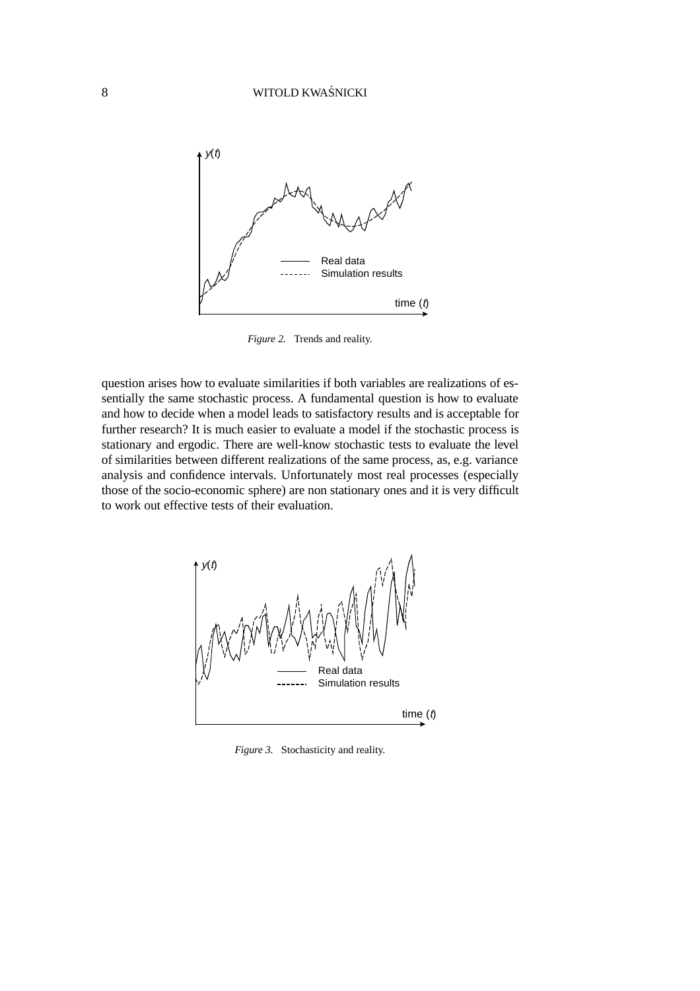

*Figure 2.* Trends and reality.

question arises how to evaluate similarities if both variables are realizations of essentially the same stochastic process. A fundamental question is how to evaluate and how to decide when a model leads to satisfactory results and is acceptable for further research? It is much easier to evaluate a model if the stochastic process is stationary and ergodic. There are well-know stochastic tests to evaluate the level of similarities between different realizations of the same process, as, e.g. variance analysis and confidence intervals. Unfortunately most real processes (especially those of the socio-economic sphere) are non stationary ones and it is very difficult to work out effective tests of their evaluation.



*Figure 3.* Stochasticity and reality.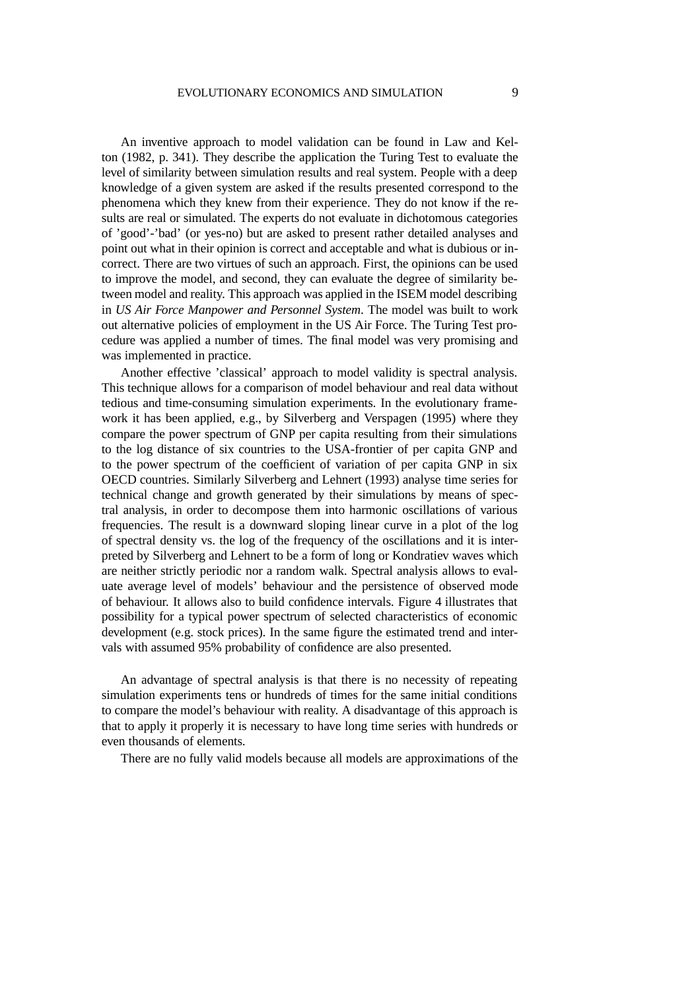An inventive approach to model validation can be found in Law and Kelton (1982, p. 341). They describe the application the Turing Test to evaluate the level of similarity between simulation results and real system. People with a deep knowledge of a given system are asked if the results presented correspond to the phenomena which they knew from their experience. They do not know if the results are real or simulated. The experts do not evaluate in dichotomous categories of 'good'-'bad' (or yes-no) but are asked to present rather detailed analyses and point out what in their opinion is correct and acceptable and what is dubious or incorrect. There are two virtues of such an approach. First, the opinions can be used to improve the model, and second, they can evaluate the degree of similarity between model and reality. This approach was applied in the ISEM model describing in *US Air Force Manpower and Personnel System*. The model was built to work out alternative policies of employment in the US Air Force. The Turing Test procedure was applied a number of times. The final model was very promising and was implemented in practice.

Another effective 'classical' approach to model validity is spectral analysis. This technique allows for a comparison of model behaviour and real data without tedious and time-consuming simulation experiments. In the evolutionary framework it has been applied, e.g., by Silverberg and Verspagen (1995) where they compare the power spectrum of GNP per capita resulting from their simulations to the log distance of six countries to the USA-frontier of per capita GNP and to the power spectrum of the coefficient of variation of per capita GNP in six OECD countries. Similarly Silverberg and Lehnert (1993) analyse time series for technical change and growth generated by their simulations by means of spectral analysis, in order to decompose them into harmonic oscillations of various frequencies. The result is a downward sloping linear curve in a plot of the log of spectral density vs. the log of the frequency of the oscillations and it is interpreted by Silverberg and Lehnert to be a form of long or Kondratiev waves which are neither strictly periodic nor a random walk. Spectral analysis allows to evaluate average level of models' behaviour and the persistence of observed mode of behaviour. It allows also to build confidence intervals. Figure 4 illustrates that possibility for a typical power spectrum of selected characteristics of economic development (e.g. stock prices). In the same figure the estimated trend and intervals with assumed 95% probability of confidence are also presented.

An advantage of spectral analysis is that there is no necessity of repeating simulation experiments tens or hundreds of times for the same initial conditions to compare the model's behaviour with reality. A disadvantage of this approach is that to apply it properly it is necessary to have long time series with hundreds or even thousands of elements.

There are no fully valid models because all models are approximations of the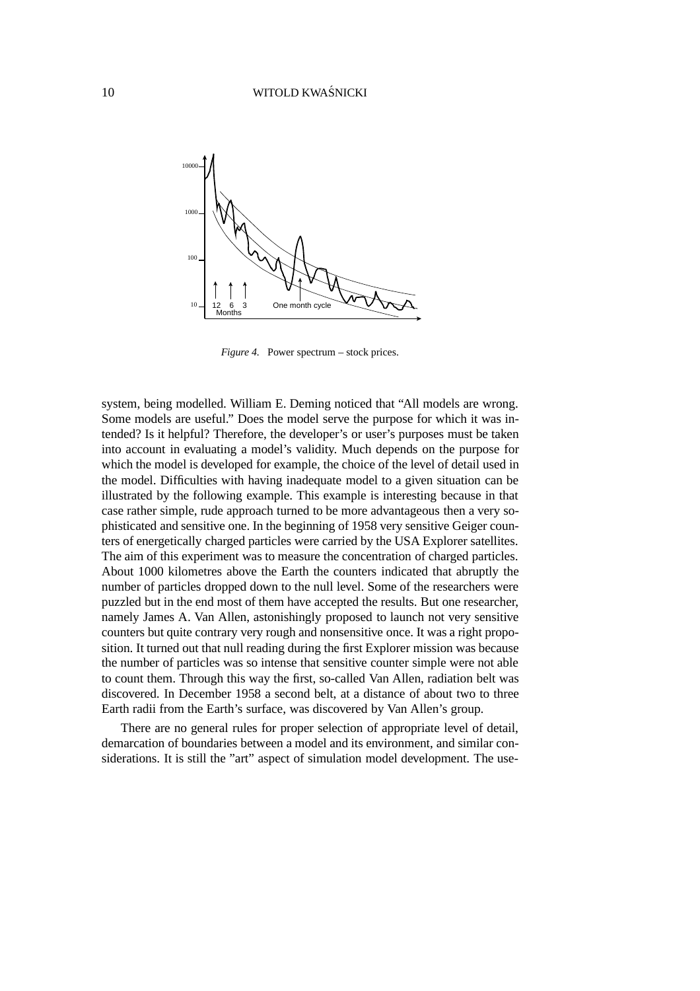

*Figure 4.* Power spectrum – stock prices.

system, being modelled. William E. Deming noticed that "All models are wrong. Some models are useful." Does the model serve the purpose for which it was intended? Is it helpful? Therefore, the developer's or user's purposes must be taken into account in evaluating a model's validity. Much depends on the purpose for which the model is developed for example, the choice of the level of detail used in the model. Difficulties with having inadequate model to a given situation can be illustrated by the following example. This example is interesting because in that case rather simple, rude approach turned to be more advantageous then a very sophisticated and sensitive one. In the beginning of 1958 very sensitive Geiger counters of energetically charged particles were carried by the USA Explorer satellites. The aim of this experiment was to measure the concentration of charged particles. About 1000 kilometres above the Earth the counters indicated that abruptly the number of particles dropped down to the null level. Some of the researchers were puzzled but in the end most of them have accepted the results. But one researcher, namely James A. Van Allen, astonishingly proposed to launch not very sensitive counters but quite contrary very rough and nonsensitive once. It was a right proposition. It turned out that null reading during the first Explorer mission was because the number of particles was so intense that sensitive counter simple were not able to count them. Through this way the first, so-called Van Allen, radiation belt was discovered. In December 1958 a second belt, at a distance of about two to three Earth radii from the Earth's surface, was discovered by Van Allen's group.

There are no general rules for proper selection of appropriate level of detail, demarcation of boundaries between a model and its environment, and similar considerations. It is still the "art" aspect of simulation model development. The use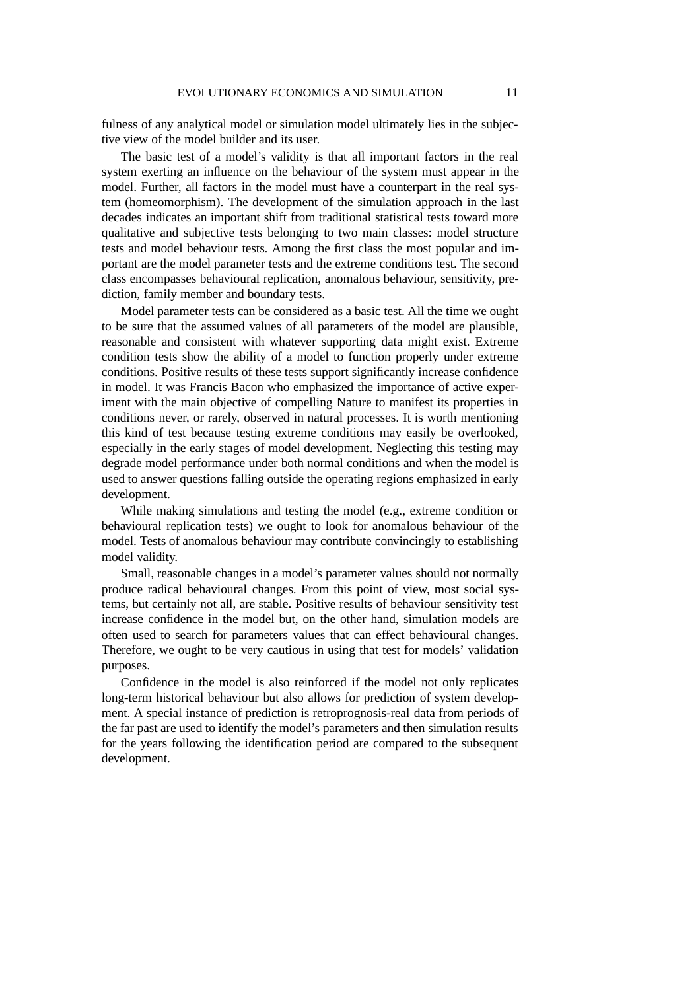fulness of any analytical model or simulation model ultimately lies in the subjective view of the model builder and its user.

The basic test of a model's validity is that all important factors in the real system exerting an influence on the behaviour of the system must appear in the model. Further, all factors in the model must have a counterpart in the real system (homeomorphism). The development of the simulation approach in the last decades indicates an important shift from traditional statistical tests toward more qualitative and subjective tests belonging to two main classes: model structure tests and model behaviour tests. Among the first class the most popular and important are the model parameter tests and the extreme conditions test. The second class encompasses behavioural replication, anomalous behaviour, sensitivity, prediction, family member and boundary tests.

Model parameter tests can be considered as a basic test. All the time we ought to be sure that the assumed values of all parameters of the model are plausible, reasonable and consistent with whatever supporting data might exist. Extreme condition tests show the ability of a model to function properly under extreme conditions. Positive results of these tests support significantly increase confidence in model. It was Francis Bacon who emphasized the importance of active experiment with the main objective of compelling Nature to manifest its properties in conditions never, or rarely, observed in natural processes. It is worth mentioning this kind of test because testing extreme conditions may easily be overlooked, especially in the early stages of model development. Neglecting this testing may degrade model performance under both normal conditions and when the model is used to answer questions falling outside the operating regions emphasized in early development.

While making simulations and testing the model (e.g., extreme condition or behavioural replication tests) we ought to look for anomalous behaviour of the model. Tests of anomalous behaviour may contribute convincingly to establishing model validity.

Small, reasonable changes in a model's parameter values should not normally produce radical behavioural changes. From this point of view, most social systems, but certainly not all, are stable. Positive results of behaviour sensitivity test increase confidence in the model but, on the other hand, simulation models are often used to search for parameters values that can effect behavioural changes. Therefore, we ought to be very cautious in using that test for models' validation purposes.

Confidence in the model is also reinforced if the model not only replicates long-term historical behaviour but also allows for prediction of system development. A special instance of prediction is retroprognosis-real data from periods of the far past are used to identify the model's parameters and then simulation results for the years following the identification period are compared to the subsequent development.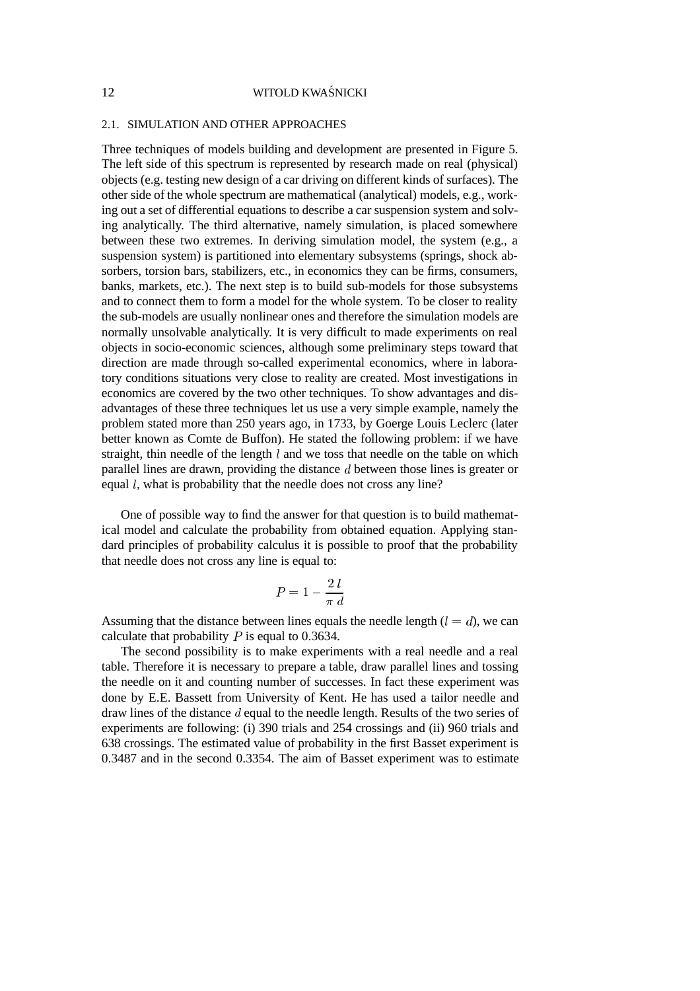### 2.1. SIMULATION AND OTHER APPROACHES

Three techniques of models building and development are presented in Figure 5. The left side of this spectrum is represented by research made on real (physical) objects (e.g. testing new design of a car driving on different kinds of surfaces). The other side of the whole spectrum are mathematical (analytical) models, e.g., working out a set of differential equations to describe a car suspension system and solving analytically. The third alternative, namely simulation, is placed somewhere between these two extremes. In deriving simulation model, the system (e.g., a suspension system) is partitioned into elementary subsystems (springs, shock absorbers, torsion bars, stabilizers, etc., in economics they can be firms, consumers, banks, markets, etc.). The next step is to build sub-models for those subsystems and to connect them to form a model for the whole system. To be closer to reality the sub-models are usually nonlinear ones and therefore the simulation models are normally unsolvable analytically. It is very difficult to made experiments on real objects in socio-economic sciences, although some preliminary steps toward that direction are made through so-called experimental economics, where in laboratory conditions situations very close to reality are created. Most investigations in economics are covered by the two other techniques. To show advantages and disadvantages of these three techniques let us use a very simple example, namely the problem stated more than 250 years ago, in 1733, by Goerge Louis Leclerc (later better known as Comte de Buffon). He stated the following problem: if we have straight, thin needle of the length  $l$  and we toss that needle on the table on which parallel lines are drawn, providing the distance <sup>d</sup> between those lines is greater or equal *l*, what is probability that the needle does not cross any line?

One of possible way to find the answer for that question is to build mathematical model and calculate the probability from obtained equation. Applying standard principles of probability calculus it is possible to proof that the probability that needle does not cross any line is equal to:

$$
P=1-\frac{2~l}{\pi~d}
$$

Assuming that the distance between lines equals the needle length  $(l = d)$ , we can calculate that probability  $P$  is equal to 0.3634.

The second possibility is to make experiments with a real needle and a real table. Therefore it is necessary to prepare a table, draw parallel lines and tossing the needle on it and counting number of successes. In fact these experiment was done by E.E. Bassett from University of Kent. He has used a tailor needle and draw lines of the distance <sup>d</sup> equal to the needle length. Results of the two series of experiments are following: (i) 390 trials and 254 crossings and (ii) 960 trials and 638 crossings. The estimated value of probability in the first Basset experiment is 0.3487 and in the second 0.3354. The aim of Basset experiment was to estimate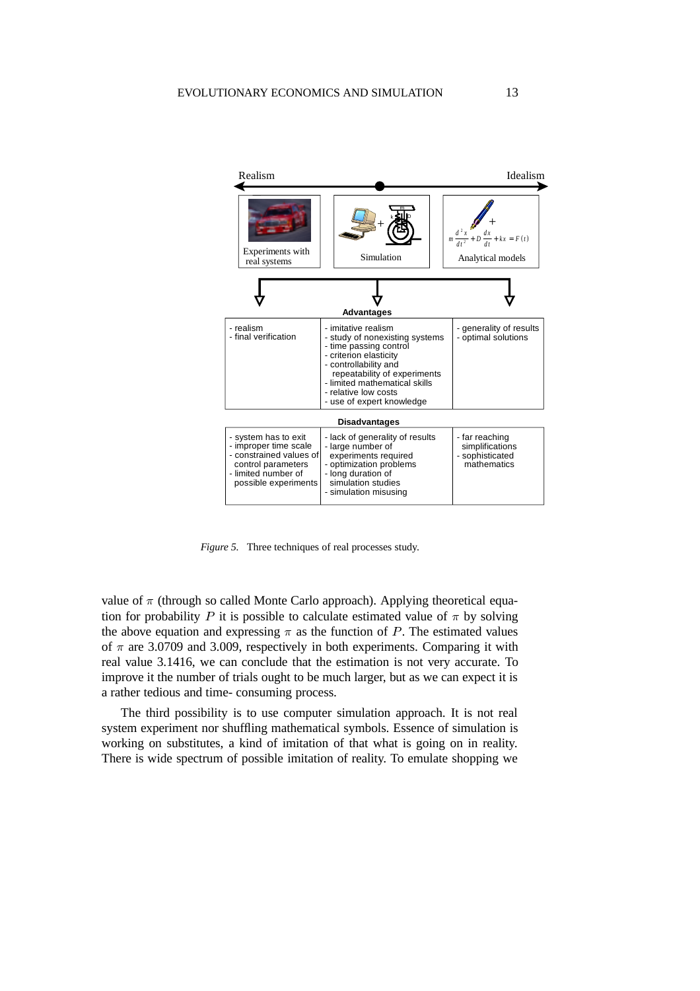

*Figure 5.* Three techniques of real processes study.

value of  $\pi$  (through so called Monte Carlo approach). Applying theoretical equation for probability P it is possible to calculate estimated value of  $\pi$  by solving the above equation and expressing  $\pi$  as the function of P. The estimated values of  $\pi$  are 3.0709 and 3.009, respectively in both experiments. Comparing it with real value 3.1416, we can conclude that the estimation is not very accurate. To improve it the number of trials ought to be much larger, but as we can expect it is a rather tedious and time- consuming process.

The third possibility is to use computer simulation approach. It is not real system experiment nor shuffling mathematical symbols. Essence of simulation is working on substitutes, a kind of imitation of that what is going on in reality. There is wide spectrum of possible imitation of reality. To emulate shopping we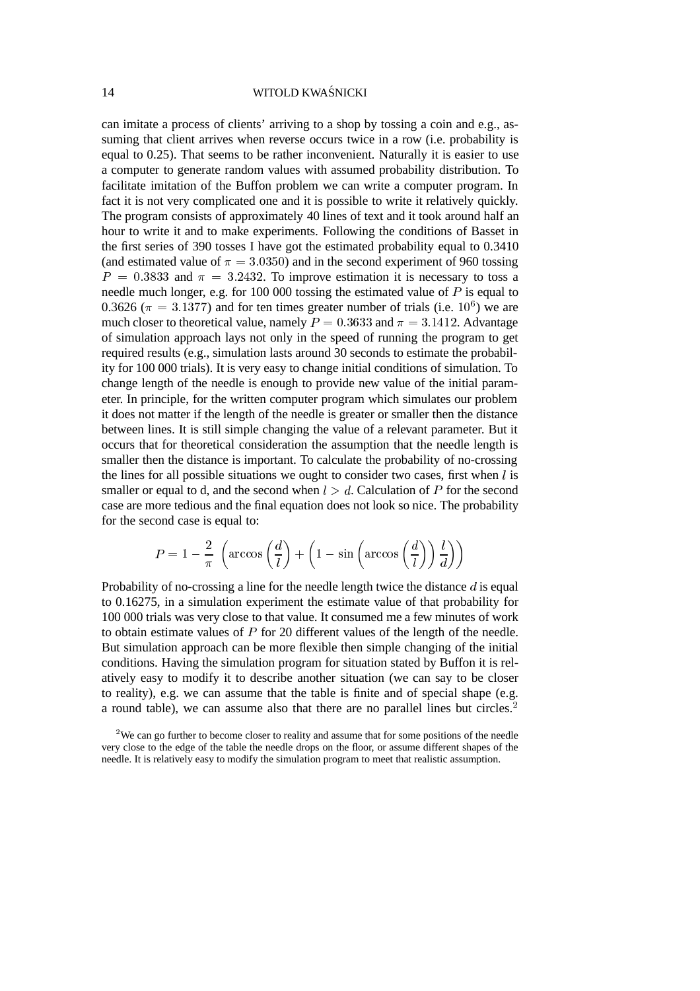#### 14 **WITOLD KWAŚNICKI**

can imitate a process of clients' arriving to a shop by tossing a coin and e.g., assuming that client arrives when reverse occurs twice in a row (i.e. probability is equal to 0.25). That seems to be rather inconvenient. Naturally it is easier to use a computer to generate random values with assumed probability distribution. To facilitate imitation of the Buffon problem we can write a computer program. In fact it is not very complicated one and it is possible to write it relatively quickly. The program consists of approximately 40 lines of text and it took around half an hour to write it and to make experiments. Following the conditions of Basset in the first series of 390 tosses I have got the estimated probability equal to 0.3410 (and estimated value of  $\pi = 3.0350$ ) and in the second experiment of 960 tossing  $P = 0.3833$  and  $\pi = 3.2432$ . To improve estimation it is necessary to toss a needle much longer, e.g. for 100 000 tossing the estimated value of  $P$  is equal to 0.3626 ( $\pi = 3.1377$ ) and for ten times greater number of trials (i.e.  $10^6$ ) we are much closer to theoretical value, namely  $P = 0.3633$  and  $\pi = 3.1412$ . Advantage of simulation approach lays not only in the speed of running the program to get required results (e.g., simulation lasts around 30 seconds to estimate the probability for 100 000 trials). It is very easy to change initial conditions of simulation. To change length of the needle is enough to provide new value of the initial parameter. In principle, for the written computer program which simulates our problem it does not matter if the length of the needle is greater or smaller then the distance between lines. It is still simple changing the value of a relevant parameter. But it occurs that for theoretical consideration the assumption that the needle length is smaller then the distance is important. To calculate the probability of no-crossing the lines for all possible situations we ought to consider two cases, first when  $l$  is smaller or equal to d, and the second when  $l>d$ . Calculation of P for the second case are more tedious and the final equation does not look so nice. The probability for the second case is equal to:

$$
P = 1 - \frac{2}{\pi} \left( \arccos\left(\frac{d}{l}\right) + \left(1 - \sin\left(\arccos\left(\frac{d}{l}\right)\right) \frac{l}{d}\right) \right)
$$

Probability of no-crossing a line for the needle length twice the distance  $d$  is equal to 0.16275, in a simulation experiment the estimate value of that probability for 100 000 trials was very close to that value. It consumed me a few minutes of work to obtain estimate values of <sup>P</sup> for 20 different values of the length of the needle. But simulation approach can be more flexible then simple changing of the initial conditions. Having the simulation program for situation stated by Buffon it is relatively easy to modify it to describe another situation (we can say to be closer to reality), e.g. we can assume that the table is finite and of special shape (e.g. a round table), we can assume also that there are no parallel lines but circles.<sup>2</sup>

<sup>&</sup>lt;sup>2</sup>We can go further to become closer to reality and assume that for some positions of the needle very close to the edge of the table the needle drops on the floor, or assume different shapes of the needle. It is relatively easy to modify the simulation program to meet that realistic assumption.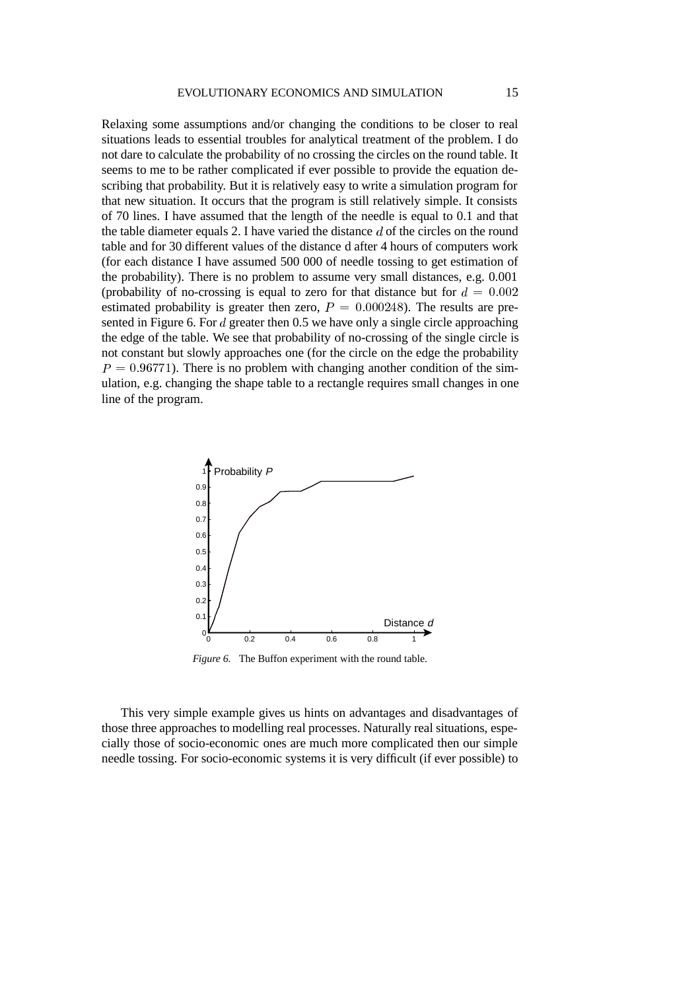Relaxing some assumptions and/or changing the conditions to be closer to real situations leads to essential troubles for analytical treatment of the problem. I do not dare to calculate the probability of no crossing the circles on the round table. It seems to me to be rather complicated if ever possible to provide the equation describing that probability. But it is relatively easy to write a simulation program for that new situation. It occurs that the program is still relatively simple. It consists of 70 lines. I have assumed that the length of the needle is equal to 0.1 and that the table diameter equals 2. I have varied the distance  $d$  of the circles on the round table and for 30 different values of the distance d after 4 hours of computers work (for each distance I have assumed 500 000 of needle tossing to get estimation of the probability). There is no problem to assume very small distances, e.g. 0.001 (probability of no-crossing is equal to zero for that distance but for  $d = 0.002$ ) estimated probability is greater then zero,  $P = 0.000248$ ). The results are presented in Figure 6. For <sup>d</sup> greater then 0.5 we have only a single circle approaching the edge of the table. We see that probability of no-crossing of the single circle is not constant but slowly approaches one (for the circle on the edge the probability  $P = 0.96771$ . There is no problem with changing another condition of the simulation, e.g. changing the shape table to a rectangle requires small changes in one line of the program.



*Figure 6.* The Buffon experiment with the round table.

This very simple example gives us hints on advantages and disadvantages of those three approaches to modelling real processes. Naturally real situations, especially those of socio-economic ones are much more complicated then our simple needle tossing. For socio-economic systems it is very difficult (if ever possible) to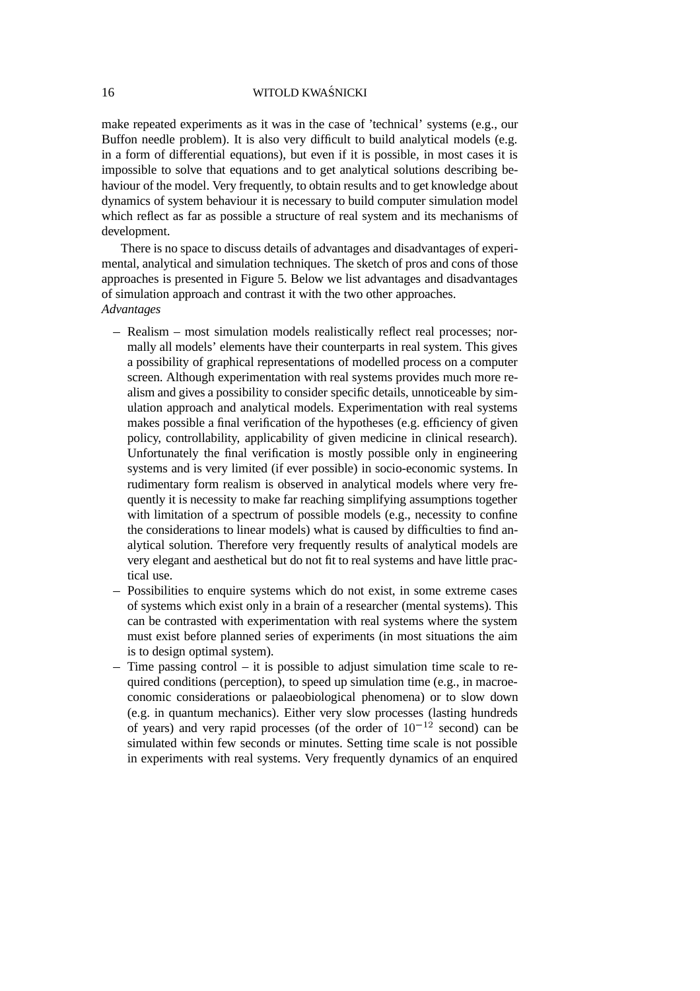### 16 WITOLD KWAŚNICKI

make repeated experiments as it was in the case of 'technical' systems (e.g., our Buffon needle problem). It is also very difficult to build analytical models (e.g. in a form of differential equations), but even if it is possible, in most cases it is impossible to solve that equations and to get analytical solutions describing behaviour of the model. Very frequently, to obtain results and to get knowledge about dynamics of system behaviour it is necessary to build computer simulation model which reflect as far as possible a structure of real system and its mechanisms of development.

There is no space to discuss details of advantages and disadvantages of experimental, analytical and simulation techniques. The sketch of pros and cons of those approaches is presented in Figure 5. Below we list advantages and disadvantages of simulation approach and contrast it with the two other approaches. *Advantages*

- Realism most simulation models realistically reflect real processes; normally all models' elements have their counterparts in real system. This gives a possibility of graphical representations of modelled process on a computer screen. Although experimentation with real systems provides much more realism and gives a possibility to consider specific details, unnoticeable by simulation approach and analytical models. Experimentation with real systems makes possible a final verification of the hypotheses (e.g. efficiency of given policy, controllability, applicability of given medicine in clinical research). Unfortunately the final verification is mostly possible only in engineering systems and is very limited (if ever possible) in socio-economic systems. In rudimentary form realism is observed in analytical models where very frequently it is necessity to make far reaching simplifying assumptions together with limitation of a spectrum of possible models (e.g., necessity to confine the considerations to linear models) what is caused by difficulties to find analytical solution. Therefore very frequently results of analytical models are very elegant and aesthetical but do not fit to real systems and have little practical use.
- Possibilities to enquire systems which do not exist, in some extreme cases  $\frac{1}{2}$ of systems which exist only in a brain of a researcher (mental systems). This can be contrasted with experimentation with real systems where the system must exist before planned series of experiments (in most situations the aim is to design optimal system).
- Time passing control it is possible to adjust simulation time scale to required conditions (perception), to speed up simulation time (e.g., in macroeconomic considerations or palaeobiological phenomena) or to slow down (e.g. in quantum mechanics). Either very slow processes (lasting hundreds of years) and very rapid processes (of the order of  $10^{-12}$  second) can be simulated within few seconds or minutes. Setting time scale is not possible in experiments with real systems. Very frequently dynamics of an enquired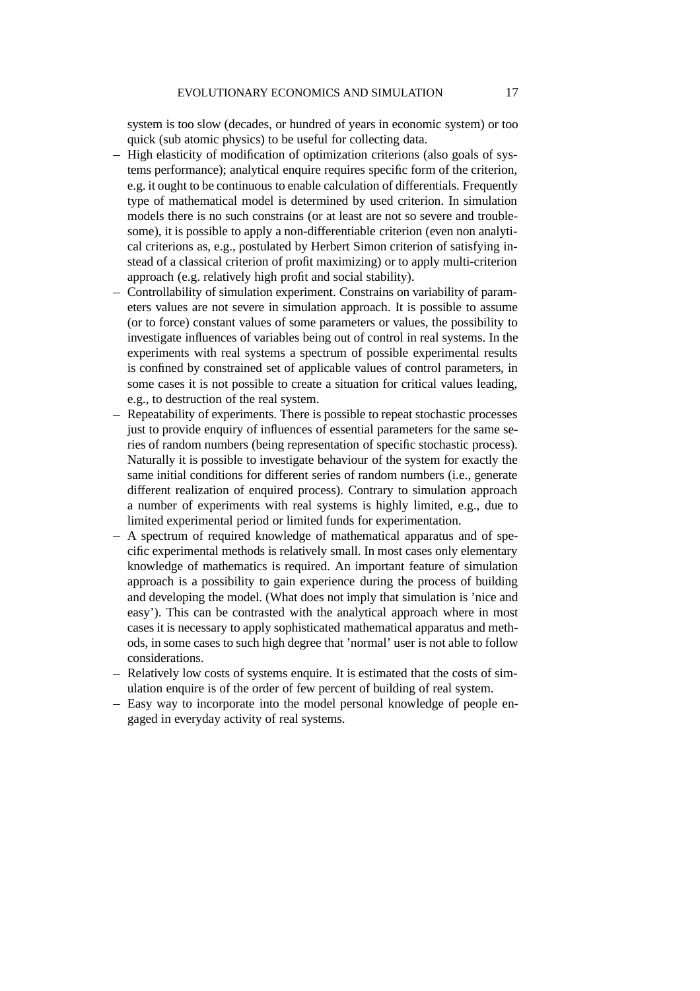system is too slow (decades, or hundred of years in economic system) or too quick (sub atomic physics) to be useful for collecting data.

- $=$  High elasticity of modification of optimization criterions (also goals of systems performance); analytical enquire requires specific form of the criterion, e.g. it ought to be continuous to enable calculation of differentials. Frequently type of mathematical model is determined by used criterion. In simulation models there is no such constrains (or at least are not so severe and troublesome), it is possible to apply a non-differentiable criterion (even non analytical criterions as, e.g., postulated by Herbert Simon criterion of satisfying instead of a classical criterion of profit maximizing) or to apply multi-criterion approach (e.g. relatively high profit and social stability).
- $\equiv$  Controllability of simulation experiment. Constrains on variability of parameters values are not severe in simulation approach. It is possible to assume (or to force) constant values of some parameters or values, the possibility to investigate influences of variables being out of control in real systems. In the experiments with real systems a spectrum of possible experimental results is confined by constrained set of applicable values of control parameters, in some cases it is not possible to create a situation for critical values leading, e.g., to destruction of the real system.
- $\equiv$  Repeatability of experiments. There is possible to repeat stochastic processes just to provide enquiry of influences of essential parameters for the same series of random numbers (being representation of specific stochastic process). Naturally it is possible to investigate behaviour of the system for exactly the same initial conditions for different series of random numbers (i.e., generate different realization of enquired process). Contrary to simulation approach a number of experiments with real systems is highly limited, e.g., due to limited experimental period or limited funds for experimentation.
- A spectrum of required knowledge of mathematical apparatus and of specific experimental methods is relatively small. In most cases only elementary knowledge of mathematics is required. An important feature of simulation approach is a possibility to gain experience during the process of building and developing the model. (What does not imply that simulation is 'nice and easy'). This can be contrasted with the analytical approach where in most cases it is necessary to apply sophisticated mathematical apparatus and methods, in some cases to such high degree that 'normal' user is not able to follow considerations.
- Relatively low costs of systems enquire. It is estimated that the costs of simulation enquire is of the order of few percent of building of real system.
- Easy way to incorporate into the model personal knowledge of people engaged in everyday activity of real systems.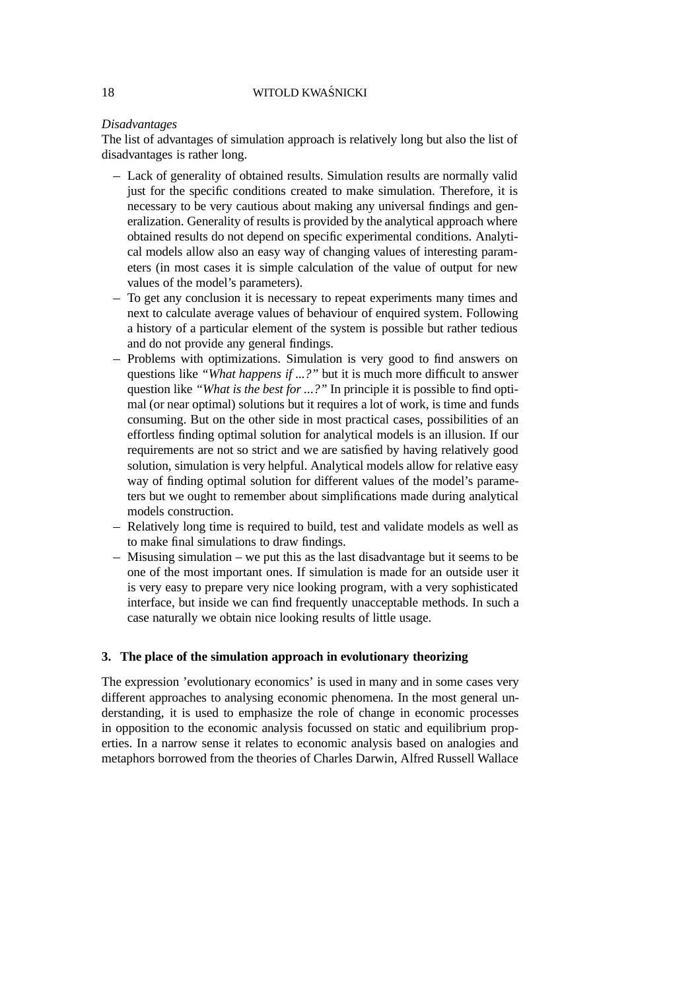# 18 WITOLD KWAŚNICKI

# *Disadvantages*

The list of advantages of simulation approach is relatively long but also the list of disadvantages is rather long.

- Lack of generality of obtained results. Simulation results are normally valid just for the specific conditions created to make simulation. Therefore, it is necessary to be very cautious about making any universal findings and generalization. Generality of results is provided by the analytical approach where obtained results do not depend on specific experimental conditions. Analytical models allow also an easy way of changing values of interesting parameters (in most cases it is simple calculation of the value of output for new values of the model's parameters).
- To get any conclusion it is necessary to repeat experiments many times and next to calculate average values of behaviour of enquired system. Following a history of a particular element of the system is possible but rather tedious and do not provide any general findings.
- Problems with optimizations. Simulation is very good to find answers on  $\equiv$ questions like *"What happens if ...?"* but it is much more difficult to answer question like *"What is the best for ...?"* In principle it is possible to find optimal (or near optimal) solutions but it requires a lot of work, is time and funds consuming. But on the other side in most practical cases, possibilities of an effortless finding optimal solution for analytical models is an illusion. If our requirements are not so strict and we are satisfied by having relatively good solution, simulation is very helpful. Analytical models allow for relative easy way of finding optimal solution for different values of the model's parameters but we ought to remember about simplifications made during analytical models construction.
- Relatively long time is required to build, test and validate models as well as to make final simulations to draw findings.
- Misusing simulation we put this as the last disadvantage but it seems to be one of the most important ones. If simulation is made for an outside user it is very easy to prepare very nice looking program, with a very sophisticated interface, but inside we can find frequently unacceptable methods. In such a case naturally we obtain nice looking results of little usage.

# **3. The place of the simulation approach in evolutionary theorizing**

The expression 'evolutionary economics' is used in many and in some cases very different approaches to analysing economic phenomena. In the most general understanding, it is used to emphasize the role of change in economic processes in opposition to the economic analysis focussed on static and equilibrium properties. In a narrow sense it relates to economic analysis based on analogies and metaphors borrowed from the theories of Charles Darwin, Alfred Russell Wallace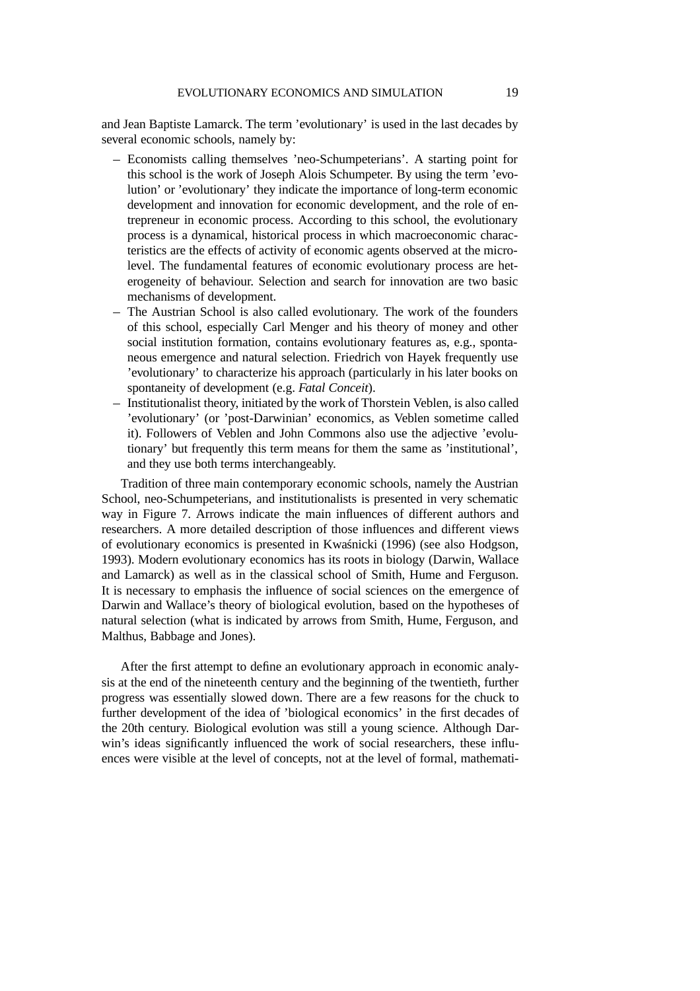and Jean Baptiste Lamarck. The term 'evolutionary' is used in the last decades by several economic schools, namely by:

- Economists calling themselves 'neo-Schumpeterians'. A starting point for this school is the work of Joseph Alois Schumpeter. By using the term 'evolution' or 'evolutionary' they indicate the importance of long-term economic development and innovation for economic development, and the role of entrepreneur in economic process. According to this school, the evolutionary process is a dynamical, historical process in which macroeconomic characteristics are the effects of activity of economic agents observed at the microlevel. The fundamental features of economic evolutionary process are heterogeneity of behaviour. Selection and search for innovation are two basic mechanisms of development.
- The Austrian School is also called evolutionary. The work of the founders of this school, especially Carl Menger and his theory of money and other social institution formation, contains evolutionary features as, e.g., spontaneous emergence and natural selection. Friedrich von Hayek frequently use 'evolutionary' to characterize his approach (particularly in his later books on spontaneity of development (e.g. *Fatal Conceit*).
- Institutionalist theory, initiated by the work of Thorstein Veblen, is also called 'evolutionary' (or 'post-Darwinian' economics, as Veblen sometime called it). Followers of Veblen and John Commons also use the adjective 'evolutionary' but frequently this term means for them the same as 'institutional', and they use both terms interchangeably.

Tradition of three main contemporary economic schools, namely the Austrian School, neo-Schumpeterians, and institutionalists is presented in very schematic way in Figure 7. Arrows indicate the main influences of different authors and researchers. A more detailed description of those influences and different views of evolutionary economics is presented in Kwaśnicki (1996) (see also Hodgson, 1993). Modern evolutionary economics has its roots in biology (Darwin, Wallace and Lamarck) as well as in the classical school of Smith, Hume and Ferguson. It is necessary to emphasis the influence of social sciences on the emergence of Darwin and Wallace's theory of biological evolution, based on the hypotheses of natural selection (what is indicated by arrows from Smith, Hume, Ferguson, and Malthus, Babbage and Jones).

After the first attempt to define an evolutionary approach in economic analysis at the end of the nineteenth century and the beginning of the twentieth, further progress was essentially slowed down. There are a few reasons for the chuck to further development of the idea of 'biological economics' in the first decades of the 20th century. Biological evolution was still a young science. Although Darwin's ideas significantly influenced the work of social researchers, these influences were visible at the level of concepts, not at the level of formal, mathemati-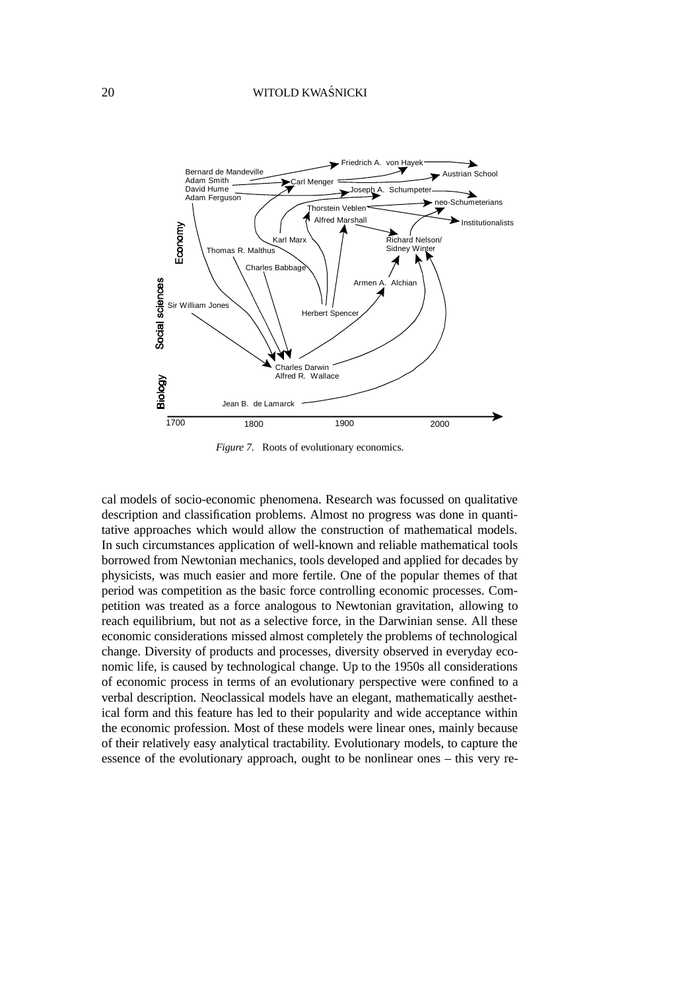

*Figure 7.* Roots of evolutionary economics.

cal models of socio-economic phenomena. Research was focussed on qualitative description and classification problems. Almost no progress was done in quantitative approaches which would allow the construction of mathematical models. In such circumstances application of well-known and reliable mathematical tools borrowed from Newtonian mechanics, tools developed and applied for decades by physicists, was much easier and more fertile. One of the popular themes of that period was competition as the basic force controlling economic processes. Competition was treated as a force analogous to Newtonian gravitation, allowing to reach equilibrium, but not as a selective force, in the Darwinian sense. All these economic considerations missed almost completely the problems of technological change. Diversity of products and processes, diversity observed in everyday economic life, is caused by technological change. Up to the 1950s all considerations of economic process in terms of an evolutionary perspective were confined to a verbal description. Neoclassical models have an elegant, mathematically aesthetical form and this feature has led to their popularity and wide acceptance within the economic profession. Most of these models were linear ones, mainly because of their relatively easy analytical tractability. Evolutionary models, to capture the essence of the evolutionary approach, ought to be nonlinear ones – this very re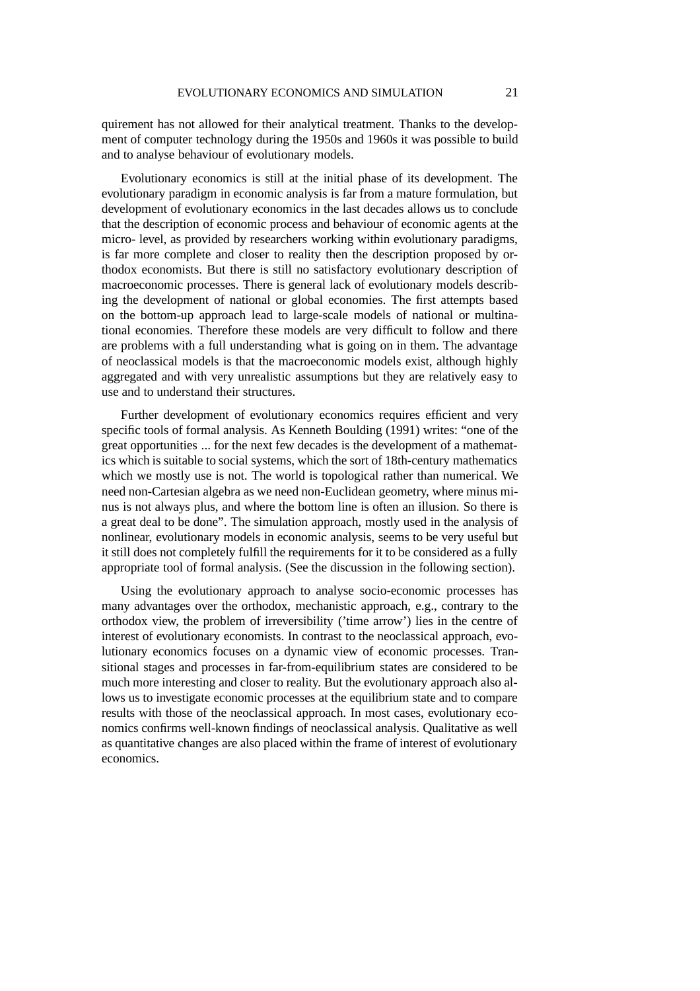quirement has not allowed for their analytical treatment. Thanks to the development of computer technology during the 1950s and 1960s it was possible to build and to analyse behaviour of evolutionary models.

Evolutionary economics is still at the initial phase of its development. The evolutionary paradigm in economic analysis is far from a mature formulation, but development of evolutionary economics in the last decades allows us to conclude that the description of economic process and behaviour of economic agents at the micro- level, as provided by researchers working within evolutionary paradigms, is far more complete and closer to reality then the description proposed by orthodox economists. But there is still no satisfactory evolutionary description of macroeconomic processes. There is general lack of evolutionary models describing the development of national or global economies. The first attempts based on the bottom-up approach lead to large-scale models of national or multinational economies. Therefore these models are very difficult to follow and there are problems with a full understanding what is going on in them. The advantage of neoclassical models is that the macroeconomic models exist, although highly aggregated and with very unrealistic assumptions but they are relatively easy to use and to understand their structures.

Further development of evolutionary economics requires efficient and very specific tools of formal analysis. As Kenneth Boulding (1991) writes: "one of the great opportunities ... for the next few decades is the development of a mathematics which is suitable to social systems, which the sort of 18th-century mathematics which we mostly use is not. The world is topological rather than numerical. We need non-Cartesian algebra as we need non-Euclidean geometry, where minus minus is not always plus, and where the bottom line is often an illusion. So there is a great deal to be done". The simulation approach, mostly used in the analysis of nonlinear, evolutionary models in economic analysis, seems to be very useful but it still does not completely fulfill the requirements for it to be considered as a fully appropriate tool of formal analysis. (See the discussion in the following section).

Using the evolutionary approach to analyse socio-economic processes has many advantages over the orthodox, mechanistic approach, e.g., contrary to the orthodox view, the problem of irreversibility ('time arrow') lies in the centre of interest of evolutionary economists. In contrast to the neoclassical approach, evolutionary economics focuses on a dynamic view of economic processes. Transitional stages and processes in far-from-equilibrium states are considered to be much more interesting and closer to reality. But the evolutionary approach also allows us to investigate economic processes at the equilibrium state and to compare results with those of the neoclassical approach. In most cases, evolutionary economics confirms well-known findings of neoclassical analysis. Qualitative as well as quantitative changes are also placed within the frame of interest of evolutionary economics.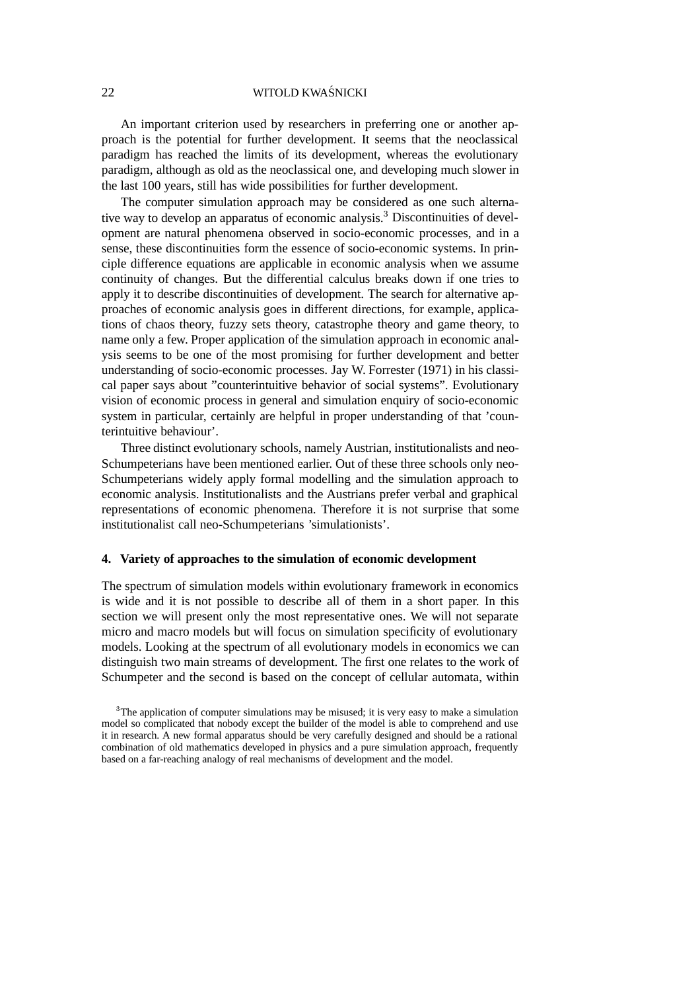An important criterion used by researchers in preferring one or another approach is the potential for further development. It seems that the neoclassical paradigm has reached the limits of its development, whereas the evolutionary paradigm, although as old as the neoclassical one, and developing much slower in the last 100 years, still has wide possibilities for further development.

The computer simulation approach may be considered as one such alternative way to develop an apparatus of economic analysis.<sup>3</sup> Discontinuities of development are natural phenomena observed in socio-economic processes, and in a sense, these discontinuities form the essence of socio-economic systems. In principle difference equations are applicable in economic analysis when we assume continuity of changes. But the differential calculus breaks down if one tries to apply it to describe discontinuities of development. The search for alternative approaches of economic analysis goes in different directions, for example, applications of chaos theory, fuzzy sets theory, catastrophe theory and game theory, to name only a few. Proper application of the simulation approach in economic analysis seems to be one of the most promising for further development and better understanding of socio-economic processes. Jay W. Forrester (1971) in his classical paper says about "counterintuitive behavior of social systems". Evolutionary vision of economic process in general and simulation enquiry of socio-economic system in particular, certainly are helpful in proper understanding of that 'counterintuitive behaviour'.

Three distinct evolutionary schools, namely Austrian, institutionalists and neo-Schumpeterians have been mentioned earlier. Out of these three schools only neo-Schumpeterians widely apply formal modelling and the simulation approach to economic analysis. Institutionalists and the Austrians prefer verbal and graphical representations of economic phenomena. Therefore it is not surprise that some institutionalist call neo-Schumpeterians 'simulationists'.

### **4. Variety of approaches to the simulation of economic development**

The spectrum of simulation models within evolutionary framework in economics is wide and it is not possible to describe all of them in a short paper. In this section we will present only the most representative ones. We will not separate micro and macro models but will focus on simulation specificity of evolutionary models. Looking at the spectrum of all evolutionary models in economics we can distinguish two main streams of development. The first one relates to the work of Schumpeter and the second is based on the concept of cellular automata, within

<sup>&</sup>lt;sup>3</sup>The application of computer simulations may be misused; it is very easy to make a simulation model so complicated that nobody except the builder of the model is able to comprehend and use it in research. A new formal apparatus should be very carefully designed and should be a rational combination of old mathematics developed in physics and a pure simulation approach, frequently based on a far-reaching analogy of real mechanisms of development and the model.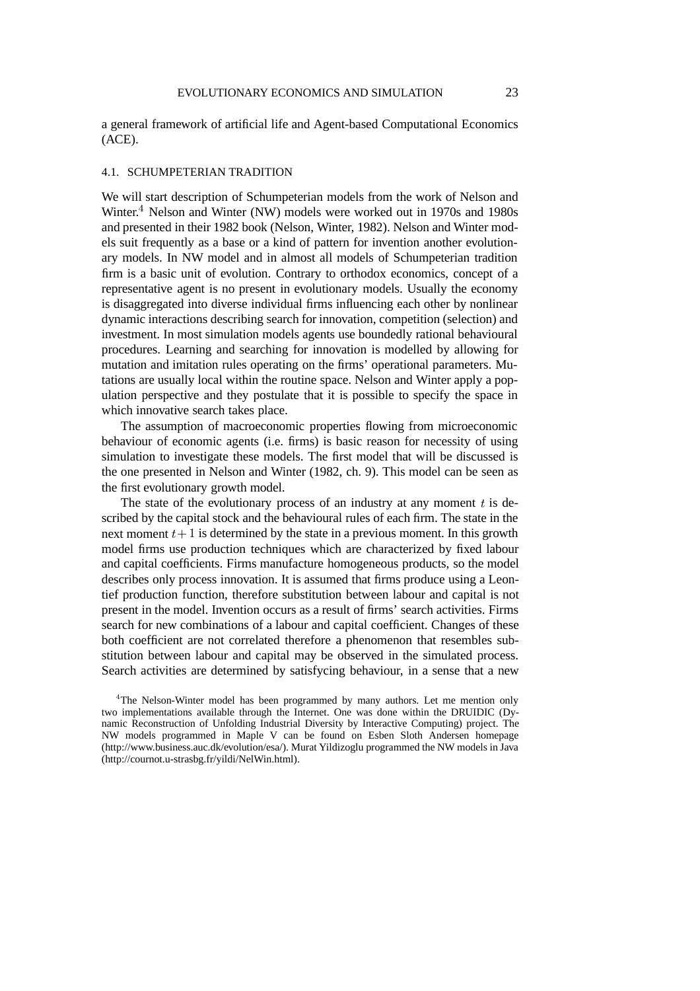a general framework of artificial life and Agent-based Computational Economics (ACE).

### 4.1. SCHUMPETERIAN TRADITION

We will start description of Schumpeterian models from the work of Nelson and Winter.<sup>4</sup> Nelson and Winter (NW) models were worked out in 1970s and 1980s and presented in their 1982 book (Nelson, Winter, 1982). Nelson and Winter models suit frequently as a base or a kind of pattern for invention another evolutionary models. In NW model and in almost all models of Schumpeterian tradition firm is a basic unit of evolution. Contrary to orthodox economics, concept of a representative agent is no present in evolutionary models. Usually the economy is disaggregated into diverse individual firms influencing each other by nonlinear dynamic interactions describing search for innovation, competition (selection) and investment. In most simulation models agents use boundedly rational behavioural procedures. Learning and searching for innovation is modelled by allowing for mutation and imitation rules operating on the firms' operational parameters. Mutations are usually local within the routine space. Nelson and Winter apply a population perspective and they postulate that it is possible to specify the space in which innovative search takes place.

The assumption of macroeconomic properties flowing from microeconomic behaviour of economic agents (i.e. firms) is basic reason for necessity of using simulation to investigate these models. The first model that will be discussed is the one presented in Nelson and Winter (1982, ch. 9). This model can be seen as the first evolutionary growth model.

The state of the evolutionary process of an industry at any moment  $t$  is described by the capital stock and the behavioural rules of each firm. The state in the next moment  $t + 1$  is determined by the state in a previous moment. In this growth model firms use production techniques which are characterized by fixed labour and capital coefficients. Firms manufacture homogeneous products, so the model describes only process innovation. It is assumed that firms produce using a Leontief production function, therefore substitution between labour and capital is not present in the model. Invention occurs as a result of firms' search activities. Firms search for new combinations of a labour and capital coefficient. Changes of these both coefficient are not correlated therefore a phenomenon that resembles substitution between labour and capital may be observed in the simulated process. Search activities are determined by satisfycing behaviour, in a sense that a new

<sup>4</sup> The Nelson-Winter model has been programmed by many authors. Let me mention only two implementations available through the Internet. One was done within the DRUIDIC (Dynamic Reconstruction of Unfolding Industrial Diversity by Interactive Computing) project. The NW models programmed in Maple V can be found on Esben Sloth Andersen homepage (http://www.business.auc.dk/evolution/esa/). Murat Yildizoglu programmed the NW models in Java (http://cournot.u-strasbg.fr/yildi/NelWin.html).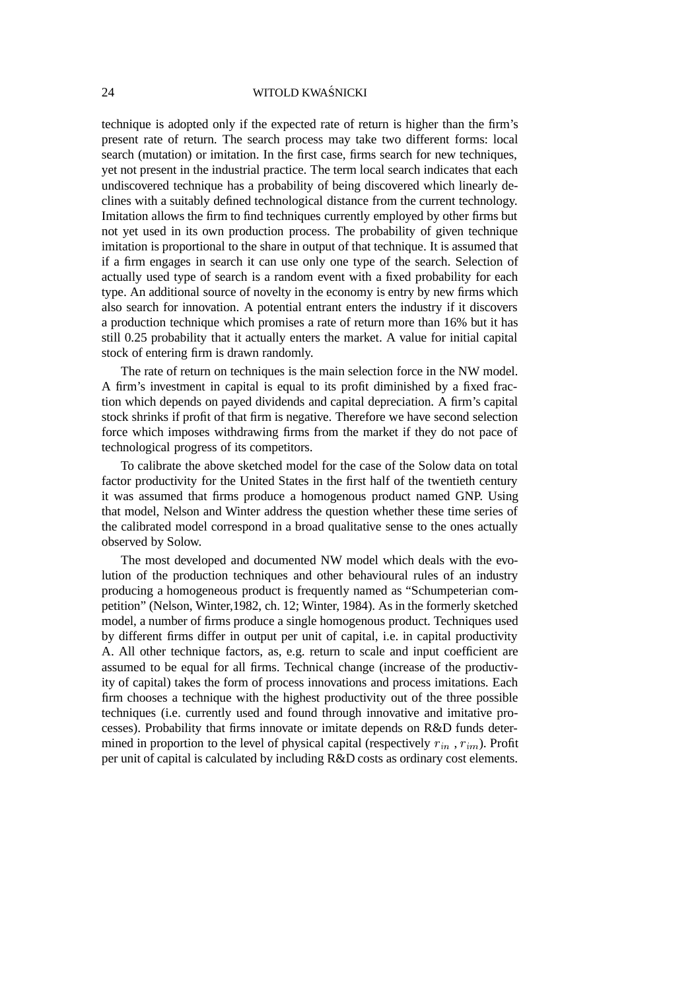technique is adopted only if the expected rate of return is higher than the firm's present rate of return. The search process may take two different forms: local search (mutation) or imitation. In the first case, firms search for new techniques, yet not present in the industrial practice. The term local search indicates that each undiscovered technique has a probability of being discovered which linearly declines with a suitably defined technological distance from the current technology. Imitation allows the firm to find techniques currently employed by other firms but not yet used in its own production process. The probability of given technique imitation is proportional to the share in output of that technique. It is assumed that if a firm engages in search it can use only one type of the search. Selection of actually used type of search is a random event with a fixed probability for each type. An additional source of novelty in the economy is entry by new firms which also search for innovation. A potential entrant enters the industry if it discovers a production technique which promises a rate of return more than 16% but it has still 0.25 probability that it actually enters the market. A value for initial capital stock of entering firm is drawn randomly.

The rate of return on techniques is the main selection force in the NW model. A firm's investment in capital is equal to its profit diminished by a fixed fraction which depends on payed dividends and capital depreciation. A firm's capital stock shrinks if profit of that firm is negative. Therefore we have second selection force which imposes withdrawing firms from the market if they do not pace of technological progress of its competitors.

To calibrate the above sketched model for the case of the Solow data on total factor productivity for the United States in the first half of the twentieth century it was assumed that firms produce a homogenous product named GNP. Using that model, Nelson and Winter address the question whether these time series of the calibrated model correspond in a broad qualitative sense to the ones actually observed by Solow.

The most developed and documented NW model which deals with the evolution of the production techniques and other behavioural rules of an industry producing a homogeneous product is frequently named as "Schumpeterian competition" (Nelson, Winter,1982, ch. 12; Winter, 1984). As in the formerly sketched model, a number of firms produce a single homogenous product. Techniques used by different firms differ in output per unit of capital, i.e. in capital productivity A. All other technique factors, as, e.g. return to scale and input coefficient are assumed to be equal for all firms. Technical change (increase of the productivity of capital) takes the form of process innovations and process imitations. Each firm chooses a technique with the highest productivity out of the three possible techniques (i.e. currently used and found through innovative and imitative processes). Probability that firms innovate or imitate depends on R&D funds determined in proportion to the level of physical capital (respectively  $r_{in}$ ,  $r_{im}$ ). Profit per unit of capital is calculated by including R&D costs as ordinary cost elements.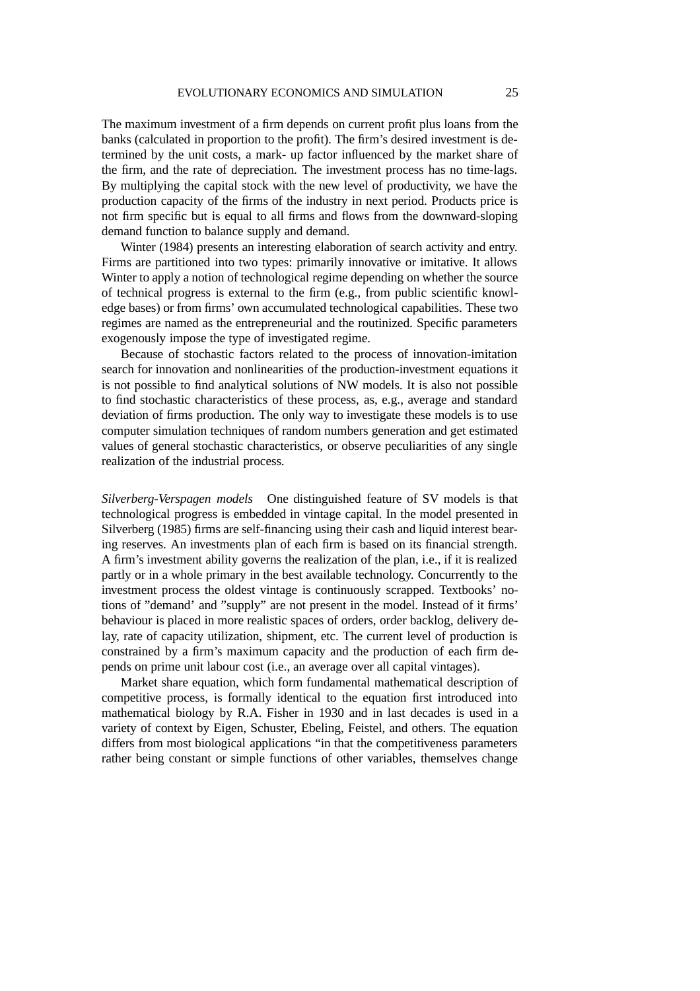The maximum investment of a firm depends on current profit plus loans from the banks (calculated in proportion to the profit). The firm's desired investment is determined by the unit costs, a mark- up factor influenced by the market share of the firm, and the rate of depreciation. The investment process has no time-lags. By multiplying the capital stock with the new level of productivity, we have the production capacity of the firms of the industry in next period. Products price is not firm specific but is equal to all firms and flows from the downward-sloping demand function to balance supply and demand.

Winter (1984) presents an interesting elaboration of search activity and entry. Firms are partitioned into two types: primarily innovative or imitative. It allows Winter to apply a notion of technological regime depending on whether the source of technical progress is external to the firm (e.g., from public scientific knowledge bases) or from firms' own accumulated technological capabilities. These two regimes are named as the entrepreneurial and the routinized. Specific parameters exogenously impose the type of investigated regime.

Because of stochastic factors related to the process of innovation-imitation search for innovation and nonlinearities of the production-investment equations it is not possible to find analytical solutions of NW models. It is also not possible to find stochastic characteristics of these process, as, e.g., average and standard deviation of firms production. The only way to investigate these models is to use computer simulation techniques of random numbers generation and get estimated values of general stochastic characteristics, or observe peculiarities of any single realization of the industrial process.

*Silverberg-Verspagen models* One distinguished feature of SV models is that technological progress is embedded in vintage capital. In the model presented in Silverberg (1985) firms are self-financing using their cash and liquid interest bearing reserves. An investments plan of each firm is based on its financial strength. A firm's investment ability governs the realization of the plan, i.e., if it is realized partly or in a whole primary in the best available technology. Concurrently to the investment process the oldest vintage is continuously scrapped. Textbooks' notions of "demand' and "supply" are not present in the model. Instead of it firms' behaviour is placed in more realistic spaces of orders, order backlog, delivery delay, rate of capacity utilization, shipment, etc. The current level of production is constrained by a firm's maximum capacity and the production of each firm depends on prime unit labour cost (i.e., an average over all capital vintages).

Market share equation, which form fundamental mathematical description of competitive process, is formally identical to the equation first introduced into mathematical biology by R.A. Fisher in 1930 and in last decades is used in a variety of context by Eigen, Schuster, Ebeling, Feistel, and others. The equation differs from most biological applications "in that the competitiveness parameters rather being constant or simple functions of other variables, themselves change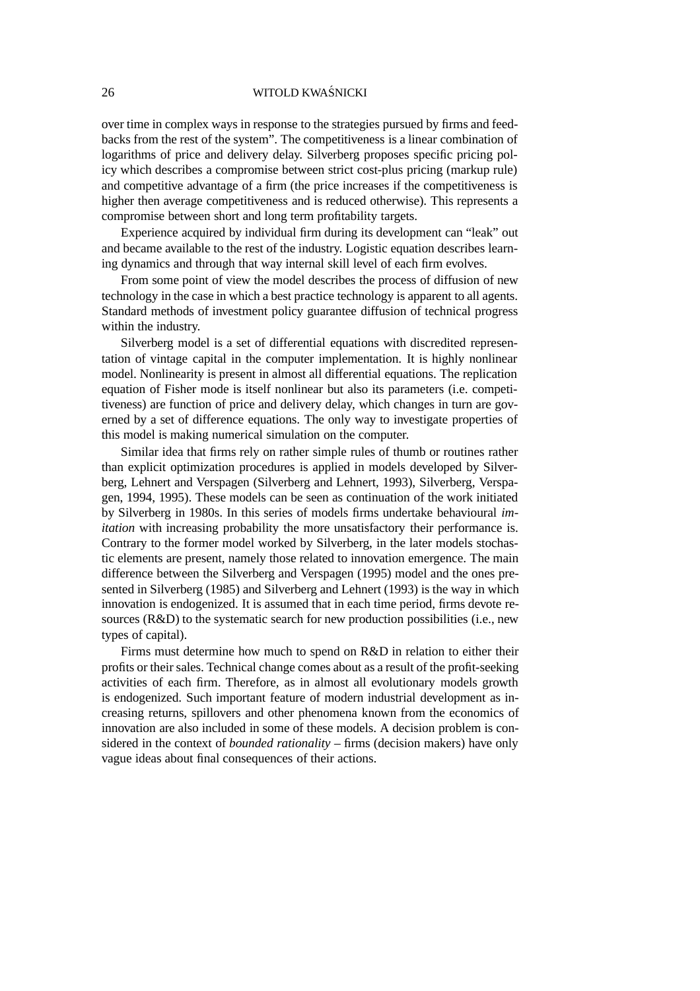over time in complex ways in response to the strategies pursued by firms and feedbacks from the rest of the system". The competitiveness is a linear combination of logarithms of price and delivery delay. Silverberg proposes specific pricing policy which describes a compromise between strict cost-plus pricing (markup rule) and competitive advantage of a firm (the price increases if the competitiveness is higher then average competitiveness and is reduced otherwise). This represents a compromise between short and long term profitability targets.

Experience acquired by individual firm during its development can "leak" out and became available to the rest of the industry. Logistic equation describes learning dynamics and through that way internal skill level of each firm evolves.

From some point of view the model describes the process of diffusion of new technology in the case in which a best practice technology is apparent to all agents. Standard methods of investment policy guarantee diffusion of technical progress within the industry.

Silverberg model is a set of differential equations with discredited representation of vintage capital in the computer implementation. It is highly nonlinear model. Nonlinearity is present in almost all differential equations. The replication equation of Fisher mode is itself nonlinear but also its parameters (i.e. competitiveness) are function of price and delivery delay, which changes in turn are governed by a set of difference equations. The only way to investigate properties of this model is making numerical simulation on the computer.

Similar idea that firms rely on rather simple rules of thumb or routines rather than explicit optimization procedures is applied in models developed by Silverberg, Lehnert and Verspagen (Silverberg and Lehnert, 1993), Silverberg, Verspagen, 1994, 1995). These models can be seen as continuation of the work initiated by Silverberg in 1980s. In this series of models firms undertake behavioural *imitation* with increasing probability the more unsatisfactory their performance is. Contrary to the former model worked by Silverberg, in the later models stochastic elements are present, namely those related to innovation emergence. The main difference between the Silverberg and Verspagen (1995) model and the ones presented in Silverberg (1985) and Silverberg and Lehnert (1993) is the way in which innovation is endogenized. It is assumed that in each time period, firms devote resources (R&D) to the systematic search for new production possibilities (i.e., new types of capital).

Firms must determine how much to spend on R&D in relation to either their profits or their sales. Technical change comes about as a result of the profit-seeking activities of each firm. Therefore, as in almost all evolutionary models growth is endogenized. Such important feature of modern industrial development as increasing returns, spillovers and other phenomena known from the economics of innovation are also included in some of these models. A decision problem is considered in the context of *bounded rationality* – firms (decision makers) have only vague ideas about final consequences of their actions.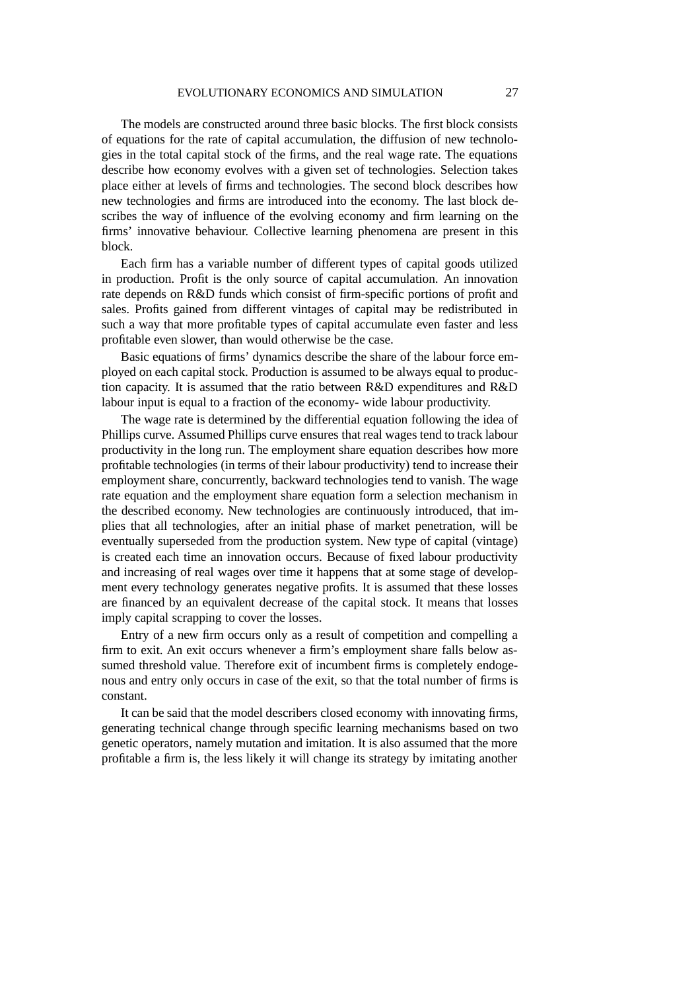The models are constructed around three basic blocks. The first block consists of equations for the rate of capital accumulation, the diffusion of new technologies in the total capital stock of the firms, and the real wage rate. The equations describe how economy evolves with a given set of technologies. Selection takes place either at levels of firms and technologies. The second block describes how new technologies and firms are introduced into the economy. The last block describes the way of influence of the evolving economy and firm learning on the firms' innovative behaviour. Collective learning phenomena are present in this block.

Each firm has a variable number of different types of capital goods utilized in production. Profit is the only source of capital accumulation. An innovation rate depends on R&D funds which consist of firm-specific portions of profit and sales. Profits gained from different vintages of capital may be redistributed in such a way that more profitable types of capital accumulate even faster and less profitable even slower, than would otherwise be the case.

Basic equations of firms' dynamics describe the share of the labour force employed on each capital stock. Production is assumed to be always equal to production capacity. It is assumed that the ratio between R&D expenditures and R&D labour input is equal to a fraction of the economy- wide labour productivity.

The wage rate is determined by the differential equation following the idea of Phillips curve. Assumed Phillips curve ensures that real wages tend to track labour productivity in the long run. The employment share equation describes how more profitable technologies (in terms of their labour productivity) tend to increase their employment share, concurrently, backward technologies tend to vanish. The wage rate equation and the employment share equation form a selection mechanism in the described economy. New technologies are continuously introduced, that implies that all technologies, after an initial phase of market penetration, will be eventually superseded from the production system. New type of capital (vintage) is created each time an innovation occurs. Because of fixed labour productivity and increasing of real wages over time it happens that at some stage of development every technology generates negative profits. It is assumed that these losses are financed by an equivalent decrease of the capital stock. It means that losses imply capital scrapping to cover the losses.

Entry of a new firm occurs only as a result of competition and compelling a firm to exit. An exit occurs whenever a firm's employment share falls below assumed threshold value. Therefore exit of incumbent firms is completely endogenous and entry only occurs in case of the exit, so that the total number of firms is constant.

It can be said that the model describers closed economy with innovating firms, generating technical change through specific learning mechanisms based on two genetic operators, namely mutation and imitation. It is also assumed that the more profitable a firm is, the less likely it will change its strategy by imitating another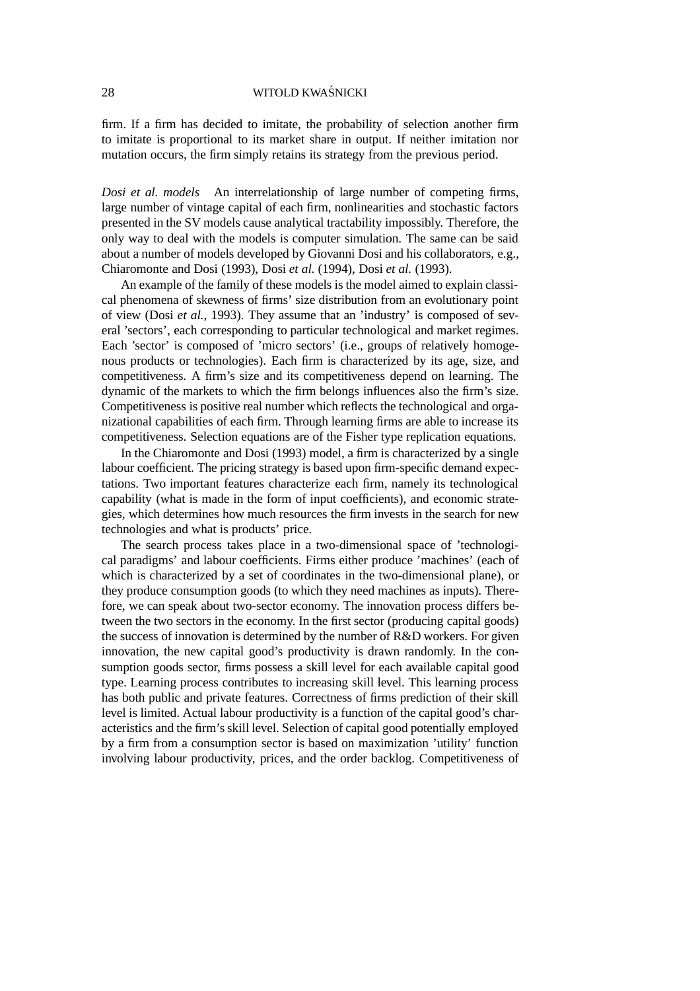firm. If a firm has decided to imitate, the probability of selection another firm to imitate is proportional to its market share in output. If neither imitation nor mutation occurs, the firm simply retains its strategy from the previous period.

*Dosi et al. models* An interrelationship of large number of competing firms, large number of vintage capital of each firm, nonlinearities and stochastic factors presented in the SV models cause analytical tractability impossibly. Therefore, the only way to deal with the models is computer simulation. The same can be said about a number of models developed by Giovanni Dosi and his collaborators, e.g., Chiaromonte and Dosi (1993), Dosi *et al.* (1994), Dosi *et al.* (1993).

An example of the family of these models is the model aimed to explain classical phenomena of skewness of firms' size distribution from an evolutionary point of view (Dosi *et al.*, 1993). They assume that an 'industry' is composed of several 'sectors', each corresponding to particular technological and market regimes. Each 'sector' is composed of 'micro sectors' (i.e., groups of relatively homogenous products or technologies). Each firm is characterized by its age, size, and competitiveness. A firm's size and its competitiveness depend on learning. The dynamic of the markets to which the firm belongs influences also the firm's size. Competitiveness is positive real number which reflects the technological and organizational capabilities of each firm. Through learning firms are able to increase its competitiveness. Selection equations are of the Fisher type replication equations.

In the Chiaromonte and Dosi (1993) model, a firm is characterized by a single labour coefficient. The pricing strategy is based upon firm-specific demand expectations. Two important features characterize each firm, namely its technological capability (what is made in the form of input coefficients), and economic strategies, which determines how much resources the firm invests in the search for new technologies and what is products' price.

The search process takes place in a two-dimensional space of 'technological paradigms' and labour coefficients. Firms either produce 'machines' (each of which is characterized by a set of coordinates in the two-dimensional plane), or they produce consumption goods (to which they need machines as inputs). Therefore, we can speak about two-sector economy. The innovation process differs between the two sectors in the economy. In the first sector (producing capital goods) the success of innovation is determined by the number of R&D workers. For given innovation, the new capital good's productivity is drawn randomly. In the consumption goods sector, firms possess a skill level for each available capital good type. Learning process contributes to increasing skill level. This learning process has both public and private features. Correctness of firms prediction of their skill level is limited. Actual labour productivity is a function of the capital good's characteristics and the firm's skill level. Selection of capital good potentially employed by a firm from a consumption sector is based on maximization 'utility' function involving labour productivity, prices, and the order backlog. Competitiveness of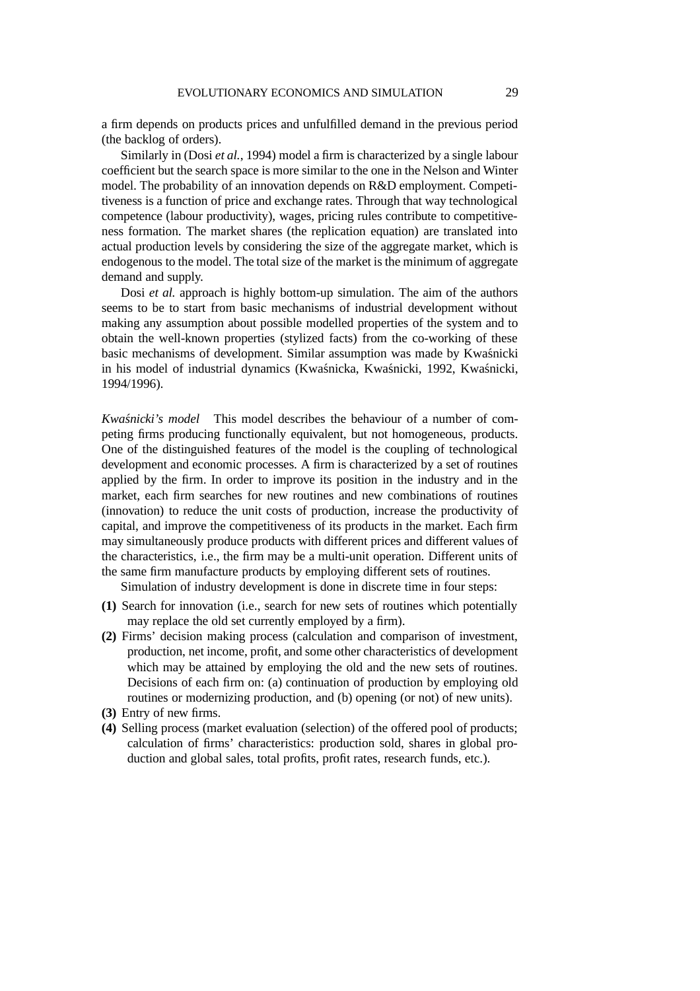a firm depends on products prices and unfulfilled demand in the previous period (the backlog of orders).

Similarly in (Dosi *et al.*, 1994) model a firm is characterized by a single labour coefficient but the search space is more similar to the one in the Nelson and Winter model. The probability of an innovation depends on R&D employment. Competitiveness is a function of price and exchange rates. Through that way technological competence (labour productivity), wages, pricing rules contribute to competitiveness formation. The market shares (the replication equation) are translated into actual production levels by considering the size of the aggregate market, which is endogenous to the model. The total size of the market is the minimum of aggregate demand and supply.

Dosi *et al.* approach is highly bottom-up simulation. The aim of the authors seems to be to start from basic mechanisms of industrial development without making any assumption about possible modelled properties of the system and to obtain the well-known properties (stylized facts) from the co-working of these basic mechanisms of development. Similar assumption was made by Kwaśnicki in his model of industrial dynamics (Kwaśnicka, Kwaśnicki, 1992, Kwaśnicki, 1994/1996).

*Kwa´snicki's model* This model describes the behaviour of a number of competing firms producing functionally equivalent, but not homogeneous, products. One of the distinguished features of the model is the coupling of technological development and economic processes. A firm is characterized by a set of routines applied by the firm. In order to improve its position in the industry and in the market, each firm searches for new routines and new combinations of routines (innovation) to reduce the unit costs of production, increase the productivity of capital, and improve the competitiveness of its products in the market. Each firm may simultaneously produce products with different prices and different values of the characteristics, i.e., the firm may be a multi-unit operation. Different units of the same firm manufacture products by employing different sets of routines.

Simulation of industry development is done in discrete time in four steps:

- **(1)** Search for innovation (i.e., search for new sets of routines which potentially may replace the old set currently employed by a firm).
- **(2)** Firms' decision making process (calculation and comparison of investment, production, net income, profit, and some other characteristics of development which may be attained by employing the old and the new sets of routines. Decisions of each firm on: (a) continuation of production by employing old routines or modernizing production, and (b) opening (or not) of new units).
- **(3)** Entry of new firms.
- **(4)** Selling process (market evaluation (selection) of the offered pool of products; calculation of firms' characteristics: production sold, shares in global production and global sales, total profits, profit rates, research funds, etc.).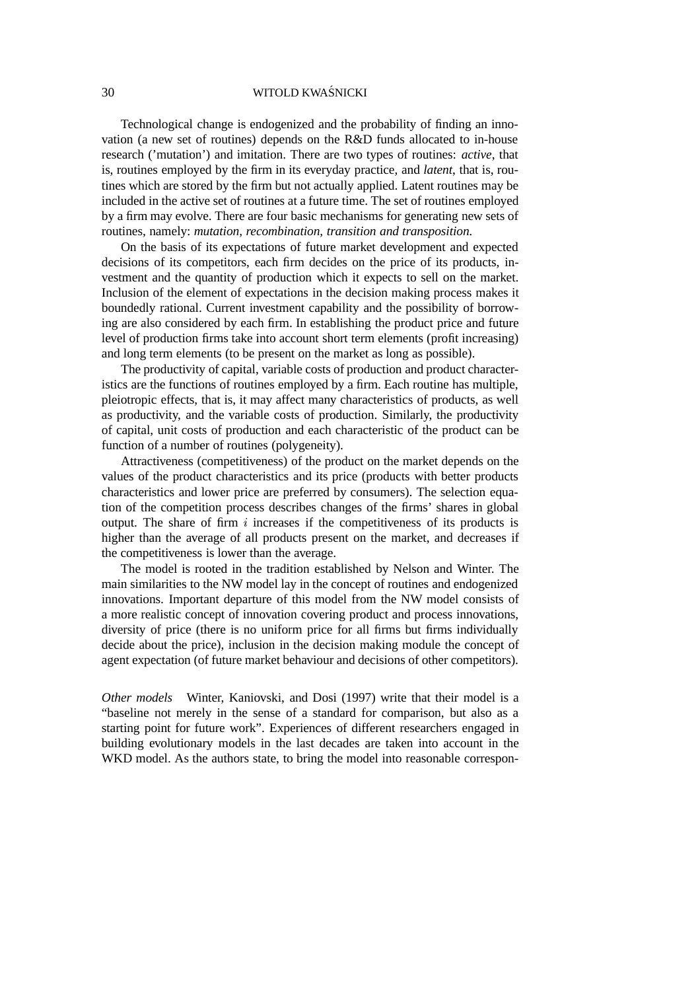Technological change is endogenized and the probability of finding an innovation (a new set of routines) depends on the R&D funds allocated to in-house research ('mutation') and imitation. There are two types of routines: *active*, that is, routines employed by the firm in its everyday practice, and *latent*, that is, routines which are stored by the firm but not actually applied. Latent routines may be included in the active set of routines at a future time. The set of routines employed by a firm may evolve. There are four basic mechanisms for generating new sets of routines, namely: *mutation, recombination, transition and transposition*.

On the basis of its expectations of future market development and expected decisions of its competitors, each firm decides on the price of its products, investment and the quantity of production which it expects to sell on the market. Inclusion of the element of expectations in the decision making process makes it boundedly rational. Current investment capability and the possibility of borrowing are also considered by each firm. In establishing the product price and future level of production firms take into account short term elements (profit increasing) and long term elements (to be present on the market as long as possible).

The productivity of capital, variable costs of production and product characteristics are the functions of routines employed by a firm. Each routine has multiple, pleiotropic effects, that is, it may affect many characteristics of products, as well as productivity, and the variable costs of production. Similarly, the productivity of capital, unit costs of production and each characteristic of the product can be function of a number of routines (polygeneity).

Attractiveness (competitiveness) of the product on the market depends on the values of the product characteristics and its price (products with better products characteristics and lower price are preferred by consumers). The selection equation of the competition process describes changes of the firms' shares in global output. The share of firm  $i$  increases if the competitiveness of its products is higher than the average of all products present on the market, and decreases if the competitiveness is lower than the average.

The model is rooted in the tradition established by Nelson and Winter. The main similarities to the NW model lay in the concept of routines and endogenized innovations. Important departure of this model from the NW model consists of a more realistic concept of innovation covering product and process innovations, diversity of price (there is no uniform price for all firms but firms individually decide about the price), inclusion in the decision making module the concept of agent expectation (of future market behaviour and decisions of other competitors).

*Other models* Winter, Kaniovski, and Dosi (1997) write that their model is a "baseline not merely in the sense of a standard for comparison, but also as a starting point for future work". Experiences of different researchers engaged in building evolutionary models in the last decades are taken into account in the WKD model. As the authors state, to bring the model into reasonable correspon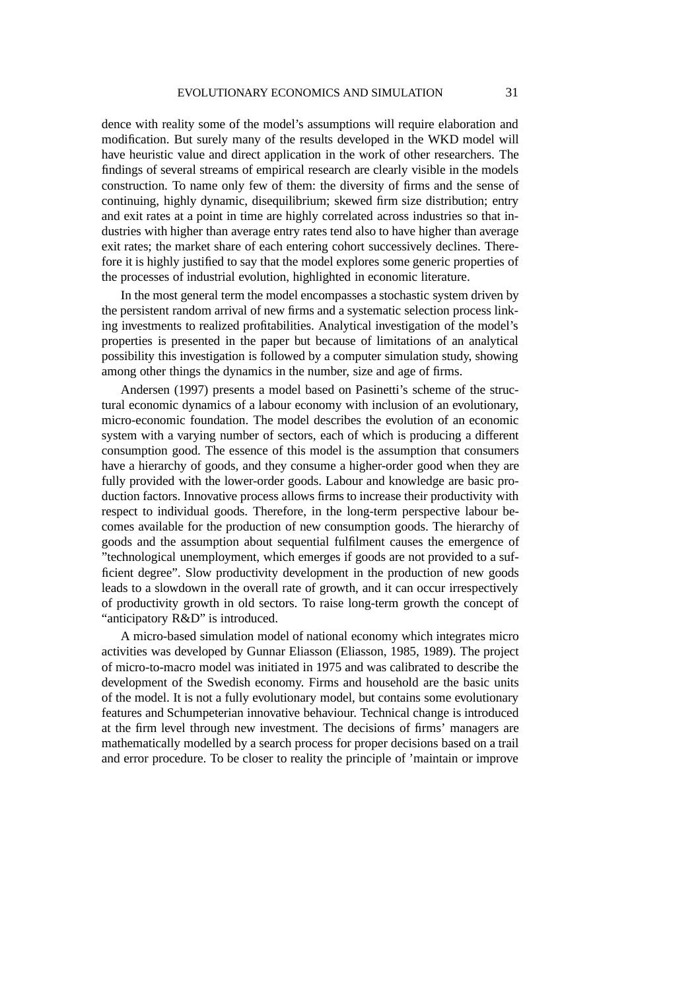dence with reality some of the model's assumptions will require elaboration and modification. But surely many of the results developed in the WKD model will have heuristic value and direct application in the work of other researchers. The findings of several streams of empirical research are clearly visible in the models construction. To name only few of them: the diversity of firms and the sense of continuing, highly dynamic, disequilibrium; skewed firm size distribution; entry and exit rates at a point in time are highly correlated across industries so that industries with higher than average entry rates tend also to have higher than average exit rates; the market share of each entering cohort successively declines. Therefore it is highly justified to say that the model explores some generic properties of the processes of industrial evolution, highlighted in economic literature.

In the most general term the model encompasses a stochastic system driven by the persistent random arrival of new firms and a systematic selection process linking investments to realized profitabilities. Analytical investigation of the model's properties is presented in the paper but because of limitations of an analytical possibility this investigation is followed by a computer simulation study, showing among other things the dynamics in the number, size and age of firms.

Andersen (1997) presents a model based on Pasinetti's scheme of the structural economic dynamics of a labour economy with inclusion of an evolutionary, micro-economic foundation. The model describes the evolution of an economic system with a varying number of sectors, each of which is producing a different consumption good. The essence of this model is the assumption that consumers have a hierarchy of goods, and they consume a higher-order good when they are fully provided with the lower-order goods. Labour and knowledge are basic production factors. Innovative process allows firms to increase their productivity with respect to individual goods. Therefore, in the long-term perspective labour becomes available for the production of new consumption goods. The hierarchy of goods and the assumption about sequential fulfilment causes the emergence of "technological unemployment, which emerges if goods are not provided to a sufficient degree". Slow productivity development in the production of new goods leads to a slowdown in the overall rate of growth, and it can occur irrespectively of productivity growth in old sectors. To raise long-term growth the concept of "anticipatory R&D" is introduced.

A micro-based simulation model of national economy which integrates micro activities was developed by Gunnar Eliasson (Eliasson, 1985, 1989). The project of micro-to-macro model was initiated in 1975 and was calibrated to describe the development of the Swedish economy. Firms and household are the basic units of the model. It is not a fully evolutionary model, but contains some evolutionary features and Schumpeterian innovative behaviour. Technical change is introduced at the firm level through new investment. The decisions of firms' managers are mathematically modelled by a search process for proper decisions based on a trail and error procedure. To be closer to reality the principle of 'maintain or improve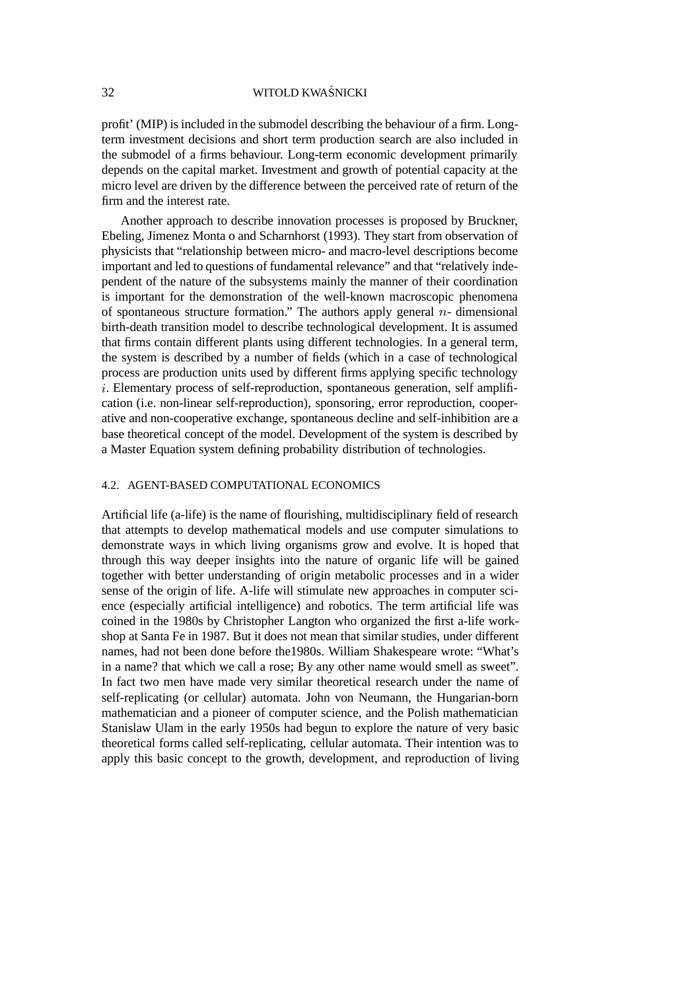profit' (MIP) is included in the submodel describing the behaviour of a firm. Longterm investment decisions and short term production search are also included in the submodel of a firms behaviour. Long-term economic development primarily depends on the capital market. Investment and growth of potential capacity at the micro level are driven by the difference between the perceived rate of return of the firm and the interest rate.

Another approach to describe innovation processes is proposed by Bruckner, Ebeling, Jimenez Monta o and Scharnhorst (1993). They start from observation of physicists that "relationship between micro- and macro-level descriptions become important and led to questions of fundamental relevance" and that "relatively independent of the nature of the subsystems mainly the manner of their coordination is important for the demonstration of the well-known macroscopic phenomena of spontaneous structure formation." The authors apply general  $n-$  dimensional birth-death transition model to describe technological development. It is assumed that firms contain different plants using different technologies. In a general term, the system is described by a number of fields (which in a case of technological process are production units used by different firms applying specific technology  $i.$  Elementary process of self-reproduction, spontaneous generation, self amplification (i.e. non-linear self-reproduction), sponsoring, error reproduction, cooperative and non-cooperative exchange, spontaneous decline and self-inhibition are a base theoretical concept of the model. Development of the system is described by a Master Equation system defining probability distribution of technologies.

# 4.2. AGENT-BASED COMPUTATIONAL ECONOMICS

Artificial life (a-life) is the name of flourishing, multidisciplinary field of research that attempts to develop mathematical models and use computer simulations to demonstrate ways in which living organisms grow and evolve. It is hoped that through this way deeper insights into the nature of organic life will be gained together with better understanding of origin metabolic processes and in a wider sense of the origin of life. A-life will stimulate new approaches in computer science (especially artificial intelligence) and robotics. The term artificial life was coined in the 1980s by Christopher Langton who organized the first a-life workshop at Santa Fe in 1987. But it does not mean that similar studies, under different names, had not been done before the1980s. William Shakespeare wrote: "What's in a name? that which we call a rose; By any other name would smell as sweet". In fact two men have made very similar theoretical research under the name of self-replicating (or cellular) automata. John von Neumann, the Hungarian-born mathematician and a pioneer of computer science, and the Polish mathematician Stanislaw Ulam in the early 1950s had begun to explore the nature of very basic theoretical forms called self-replicating, cellular automata. Their intention was to apply this basic concept to the growth, development, and reproduction of living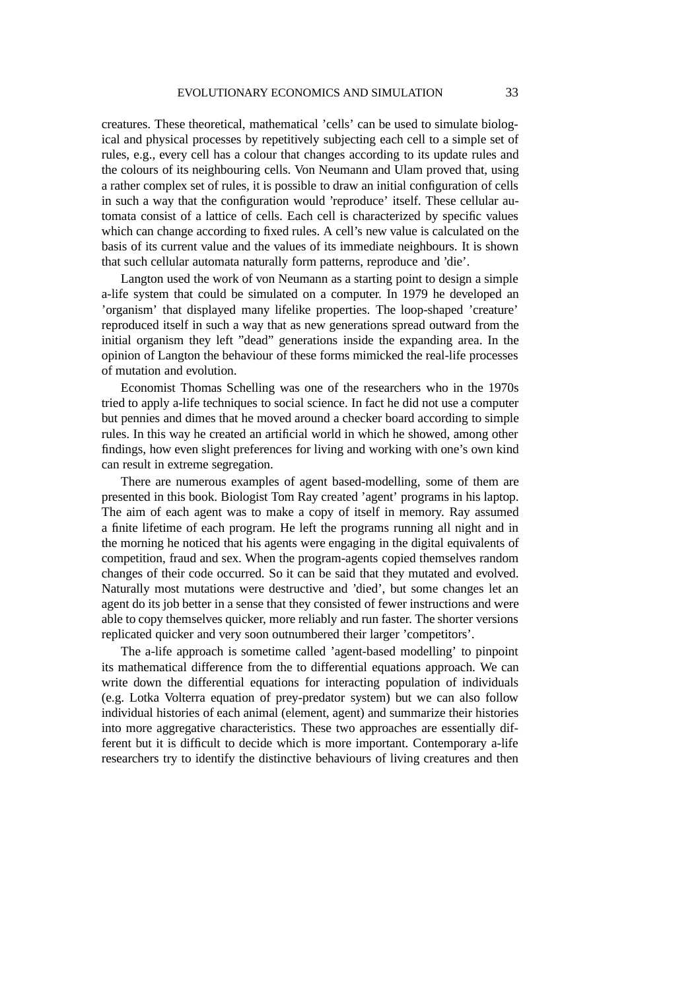creatures. These theoretical, mathematical 'cells' can be used to simulate biological and physical processes by repetitively subjecting each cell to a simple set of rules, e.g., every cell has a colour that changes according to its update rules and the colours of its neighbouring cells. Von Neumann and Ulam proved that, using a rather complex set of rules, it is possible to draw an initial configuration of cells in such a way that the configuration would 'reproduce' itself. These cellular automata consist of a lattice of cells. Each cell is characterized by specific values which can change according to fixed rules. A cell's new value is calculated on the basis of its current value and the values of its immediate neighbours. It is shown that such cellular automata naturally form patterns, reproduce and 'die'.

Langton used the work of von Neumann as a starting point to design a simple a-life system that could be simulated on a computer. In 1979 he developed an 'organism' that displayed many lifelike properties. The loop-shaped 'creature' reproduced itself in such a way that as new generations spread outward from the initial organism they left "dead" generations inside the expanding area. In the opinion of Langton the behaviour of these forms mimicked the real-life processes of mutation and evolution.

Economist Thomas Schelling was one of the researchers who in the 1970s tried to apply a-life techniques to social science. In fact he did not use a computer but pennies and dimes that he moved around a checker board according to simple rules. In this way he created an artificial world in which he showed, among other findings, how even slight preferences for living and working with one's own kind can result in extreme segregation.

There are numerous examples of agent based-modelling, some of them are presented in this book. Biologist Tom Ray created 'agent' programs in his laptop. The aim of each agent was to make a copy of itself in memory. Ray assumed a finite lifetime of each program. He left the programs running all night and in the morning he noticed that his agents were engaging in the digital equivalents of competition, fraud and sex. When the program-agents copied themselves random changes of their code occurred. So it can be said that they mutated and evolved. Naturally most mutations were destructive and 'died', but some changes let an agent do its job better in a sense that they consisted of fewer instructions and were able to copy themselves quicker, more reliably and run faster. The shorter versions replicated quicker and very soon outnumbered their larger 'competitors'.

The a-life approach is sometime called 'agent-based modelling' to pinpoint its mathematical difference from the to differential equations approach. We can write down the differential equations for interacting population of individuals (e.g. Lotka Volterra equation of prey-predator system) but we can also follow individual histories of each animal (element, agent) and summarize their histories into more aggregative characteristics. These two approaches are essentially different but it is difficult to decide which is more important. Contemporary a-life researchers try to identify the distinctive behaviours of living creatures and then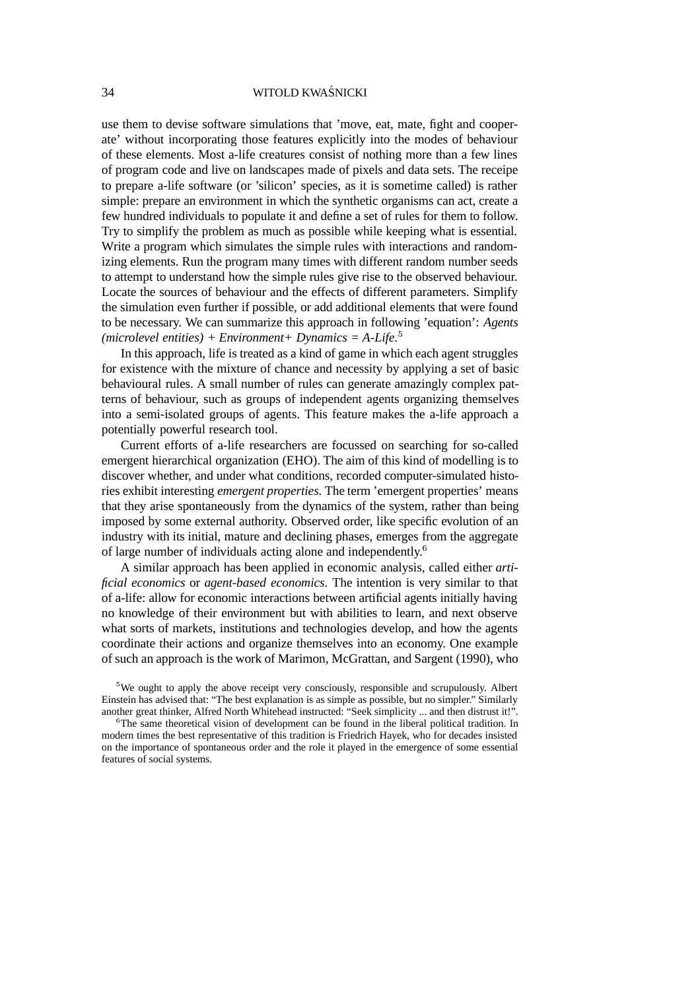use them to devise software simulations that 'move, eat, mate, fight and cooperate' without incorporating those features explicitly into the modes of behaviour of these elements. Most a-life creatures consist of nothing more than a few lines of program code and live on landscapes made of pixels and data sets. The receipe to prepare a-life software (or 'silicon' species, as it is sometime called) is rather simple: prepare an environment in which the synthetic organisms can act, create a few hundred individuals to populate it and define a set of rules for them to follow. Try to simplify the problem as much as possible while keeping what is essential. Write a program which simulates the simple rules with interactions and randomizing elements. Run the program many times with different random number seeds to attempt to understand how the simple rules give rise to the observed behaviour. Locate the sources of behaviour and the effects of different parameters. Simplify the simulation even further if possible, or add additional elements that were found to be necessary. We can summarize this approach in following 'equation': *Agents (microlevel entities) + Environment+ Dynamics = A-Life*.<sup>5</sup>

In this approach, life is treated as a kind of game in which each agent struggles for existence with the mixture of chance and necessity by applying a set of basic behavioural rules. A small number of rules can generate amazingly complex patterns of behaviour, such as groups of independent agents organizing themselves into a semi-isolated groups of agents. This feature makes the a-life approach a potentially powerful research tool.

Current efforts of a-life researchers are focussed on searching for so-called emergent hierarchical organization (EHO). The aim of this kind of modelling is to discover whether, and under what conditions, recorded computer-simulated histories exhibit interesting *emergent properties*. The term 'emergent properties' means that they arise spontaneously from the dynamics of the system, rather than being imposed by some external authority. Observed order, like specific evolution of an industry with its initial, mature and declining phases, emerges from the aggregate of large number of individuals acting alone and independently.<sup>6</sup>

A similar approach has been applied in economic analysis, called either *artificial economics* or *agent-based economics*. The intention is very similar to that of a-life: allow for economic interactions between artificial agents initially having no knowledge of their environment but with abilities to learn, and next observe what sorts of markets, institutions and technologies develop, and how the agents coordinate their actions and organize themselves into an economy. One example of such an approach is the work of Marimon, McGrattan, and Sargent (1990), who

<sup>&</sup>lt;sup>5</sup>We ought to apply the above receipt very consciously, responsible and scrupulously. Albert Einstein has advised that: "The best explanation is as simple as possible, but no simpler." Similarly another great thinker, Alfred North Whitehead instructed: "Seek simplicity ... and then distrust it!".

<sup>&</sup>lt;sup>6</sup>The same theoretical vision of development can be found in the liberal political tradition. In modern times the best representative of this tradition is Friedrich Hayek, who for decades insisted on the importance of spontaneous order and the role it played in the emergence of some essential features of social systems.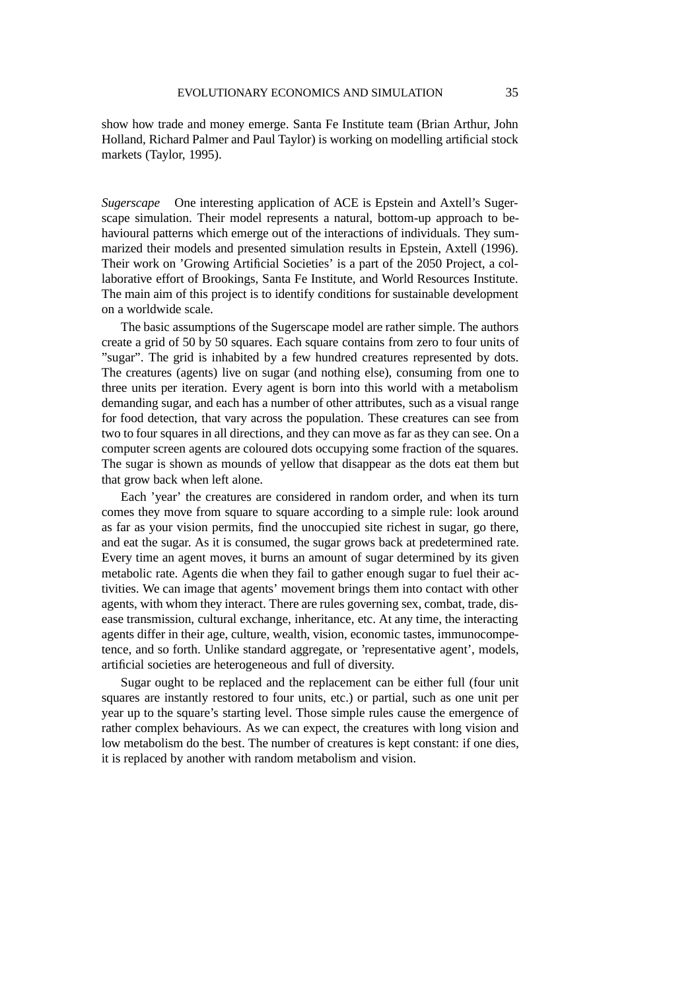show how trade and money emerge. Santa Fe Institute team (Brian Arthur, John Holland, Richard Palmer and Paul Taylor) is working on modelling artificial stock markets (Taylor, 1995).

*Sugerscape* One interesting application of ACE is Epstein and Axtell's Sugerscape simulation. Their model represents a natural, bottom-up approach to behavioural patterns which emerge out of the interactions of individuals. They summarized their models and presented simulation results in Epstein, Axtell (1996). Their work on 'Growing Artificial Societies' is a part of the 2050 Project, a collaborative effort of Brookings, Santa Fe Institute, and World Resources Institute. The main aim of this project is to identify conditions for sustainable development on a worldwide scale.

The basic assumptions of the Sugerscape model are rather simple. The authors create a grid of 50 by 50 squares. Each square contains from zero to four units of "sugar". The grid is inhabited by a few hundred creatures represented by dots. The creatures (agents) live on sugar (and nothing else), consuming from one to three units per iteration. Every agent is born into this world with a metabolism demanding sugar, and each has a number of other attributes, such as a visual range for food detection, that vary across the population. These creatures can see from two to four squares in all directions, and they can move as far as they can see. On a computer screen agents are coloured dots occupying some fraction of the squares. The sugar is shown as mounds of yellow that disappear as the dots eat them but that grow back when left alone.

Each 'year' the creatures are considered in random order, and when its turn comes they move from square to square according to a simple rule: look around as far as your vision permits, find the unoccupied site richest in sugar, go there, and eat the sugar. As it is consumed, the sugar grows back at predetermined rate. Every time an agent moves, it burns an amount of sugar determined by its given metabolic rate. Agents die when they fail to gather enough sugar to fuel their activities. We can image that agents' movement brings them into contact with other agents, with whom they interact. There are rules governing sex, combat, trade, disease transmission, cultural exchange, inheritance, etc. At any time, the interacting agents differ in their age, culture, wealth, vision, economic tastes, immunocompetence, and so forth. Unlike standard aggregate, or 'representative agent', models, artificial societies are heterogeneous and full of diversity.

Sugar ought to be replaced and the replacement can be either full (four unit squares are instantly restored to four units, etc.) or partial, such as one unit per year up to the square's starting level. Those simple rules cause the emergence of rather complex behaviours. As we can expect, the creatures with long vision and low metabolism do the best. The number of creatures is kept constant: if one dies, it is replaced by another with random metabolism and vision.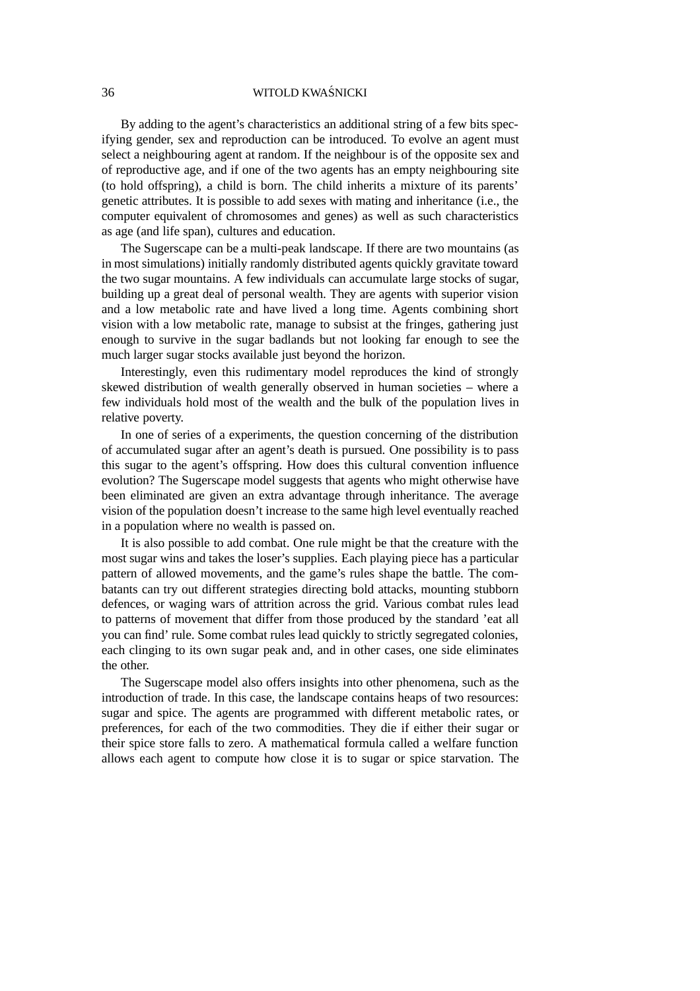By adding to the agent's characteristics an additional string of a few bits specifying gender, sex and reproduction can be introduced. To evolve an agent must select a neighbouring agent at random. If the neighbour is of the opposite sex and of reproductive age, and if one of the two agents has an empty neighbouring site (to hold offspring), a child is born. The child inherits a mixture of its parents' genetic attributes. It is possible to add sexes with mating and inheritance (i.e., the computer equivalent of chromosomes and genes) as well as such characteristics as age (and life span), cultures and education.

The Sugerscape can be a multi-peak landscape. If there are two mountains (as in most simulations) initially randomly distributed agents quickly gravitate toward the two sugar mountains. A few individuals can accumulate large stocks of sugar, building up a great deal of personal wealth. They are agents with superior vision and a low metabolic rate and have lived a long time. Agents combining short vision with a low metabolic rate, manage to subsist at the fringes, gathering just enough to survive in the sugar badlands but not looking far enough to see the much larger sugar stocks available just beyond the horizon.

Interestingly, even this rudimentary model reproduces the kind of strongly skewed distribution of wealth generally observed in human societies – where a few individuals hold most of the wealth and the bulk of the population lives in relative poverty.

In one of series of a experiments, the question concerning of the distribution of accumulated sugar after an agent's death is pursued. One possibility is to pass this sugar to the agent's offspring. How does this cultural convention influence evolution? The Sugerscape model suggests that agents who might otherwise have been eliminated are given an extra advantage through inheritance. The average vision of the population doesn't increase to the same high level eventually reached in a population where no wealth is passed on.

It is also possible to add combat. One rule might be that the creature with the most sugar wins and takes the loser's supplies. Each playing piece has a particular pattern of allowed movements, and the game's rules shape the battle. The combatants can try out different strategies directing bold attacks, mounting stubborn defences, or waging wars of attrition across the grid. Various combat rules lead to patterns of movement that differ from those produced by the standard 'eat all you can find' rule. Some combat rules lead quickly to strictly segregated colonies, each clinging to its own sugar peak and, and in other cases, one side eliminates the other.

The Sugerscape model also offers insights into other phenomena, such as the introduction of trade. In this case, the landscape contains heaps of two resources: sugar and spice. The agents are programmed with different metabolic rates, or preferences, for each of the two commodities. They die if either their sugar or their spice store falls to zero. A mathematical formula called a welfare function allows each agent to compute how close it is to sugar or spice starvation. The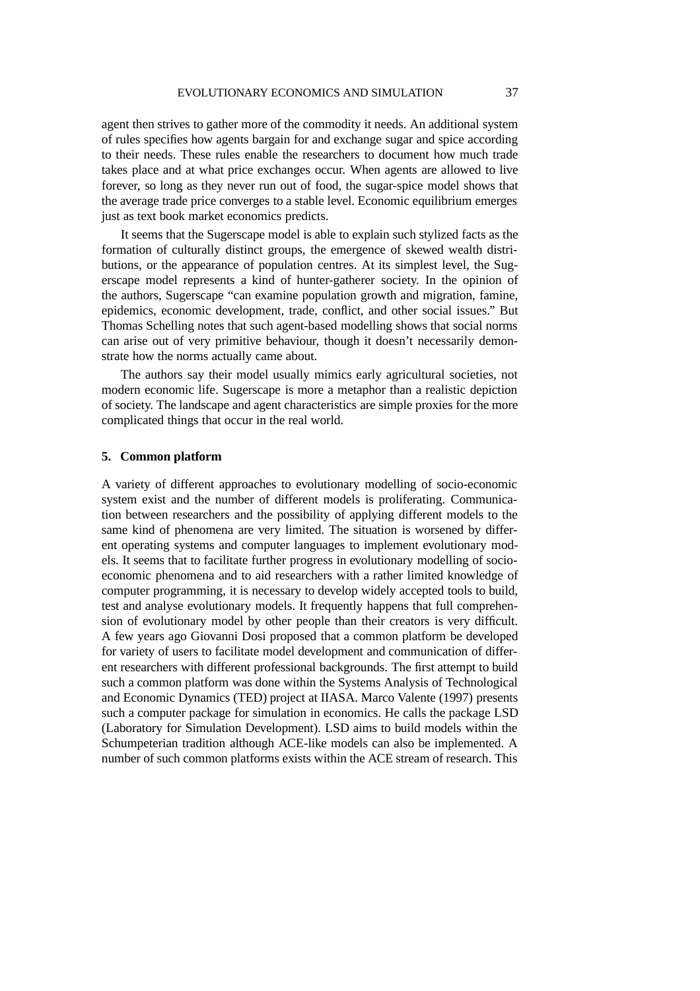agent then strives to gather more of the commodity it needs. An additional system of rules specifies how agents bargain for and exchange sugar and spice according to their needs. These rules enable the researchers to document how much trade takes place and at what price exchanges occur. When agents are allowed to live forever, so long as they never run out of food, the sugar-spice model shows that the average trade price converges to a stable level. Economic equilibrium emerges just as text book market economics predicts.

It seems that the Sugerscape model is able to explain such stylized facts as the formation of culturally distinct groups, the emergence of skewed wealth distributions, or the appearance of population centres. At its simplest level, the Sugerscape model represents a kind of hunter-gatherer society. In the opinion of the authors, Sugerscape "can examine population growth and migration, famine, epidemics, economic development, trade, conflict, and other social issues." But Thomas Schelling notes that such agent-based modelling shows that social norms can arise out of very primitive behaviour, though it doesn't necessarily demonstrate how the norms actually came about.

The authors say their model usually mimics early agricultural societies, not modern economic life. Sugerscape is more a metaphor than a realistic depiction of society. The landscape and agent characteristics are simple proxies for the more complicated things that occur in the real world.

# **5. Common platform**

A variety of different approaches to evolutionary modelling of socio-economic system exist and the number of different models is proliferating. Communication between researchers and the possibility of applying different models to the same kind of phenomena are very limited. The situation is worsened by different operating systems and computer languages to implement evolutionary models. It seems that to facilitate further progress in evolutionary modelling of socioeconomic phenomena and to aid researchers with a rather limited knowledge of computer programming, it is necessary to develop widely accepted tools to build, test and analyse evolutionary models. It frequently happens that full comprehension of evolutionary model by other people than their creators is very difficult. A few years ago Giovanni Dosi proposed that a common platform be developed for variety of users to facilitate model development and communication of different researchers with different professional backgrounds. The first attempt to build such a common platform was done within the Systems Analysis of Technological and Economic Dynamics (TED) project at IIASA. Marco Valente (1997) presents such a computer package for simulation in economics. He calls the package LSD (Laboratory for Simulation Development). LSD aims to build models within the Schumpeterian tradition although ACE-like models can also be implemented. A number of such common platforms exists within the ACE stream of research. This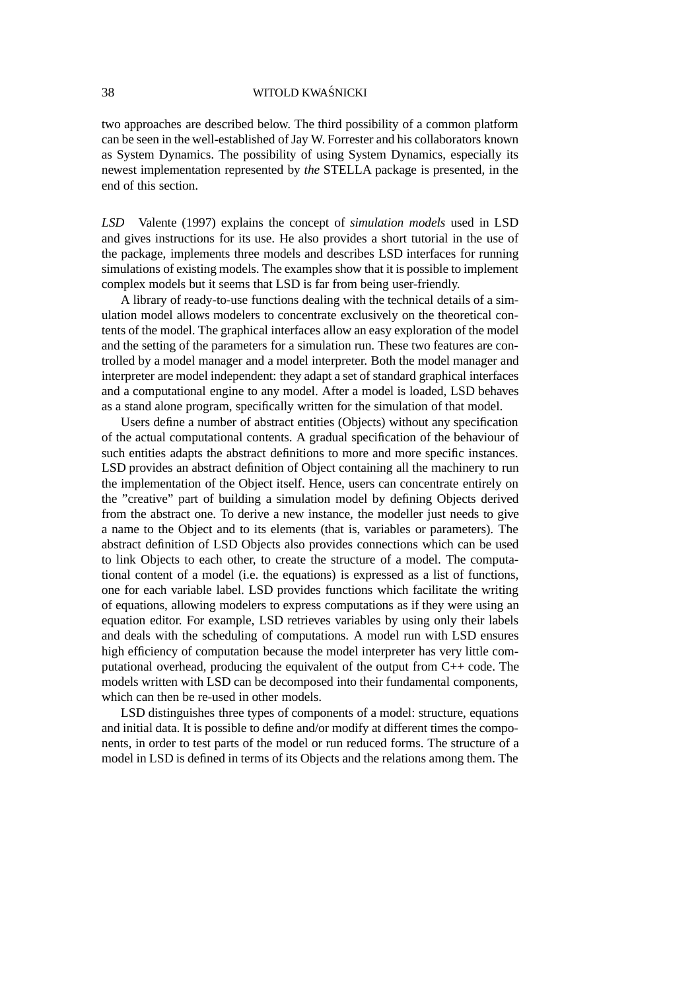two approaches are described below. The third possibility of a common platform can be seen in the well-established of Jay W. Forrester and his collaborators known as System Dynamics. The possibility of using System Dynamics, especially its newest implementation represented by *the* STELLA package is presented, in the end of this section.

*LSD* Valente (1997) explains the concept of *simulation models* used in LSD and gives instructions for its use. He also provides a short tutorial in the use of the package, implements three models and describes LSD interfaces for running simulations of existing models. The examples show that it is possible to implement complex models but it seems that LSD is far from being user-friendly.

A library of ready-to-use functions dealing with the technical details of a simulation model allows modelers to concentrate exclusively on the theoretical contents of the model. The graphical interfaces allow an easy exploration of the model and the setting of the parameters for a simulation run. These two features are controlled by a model manager and a model interpreter. Both the model manager and interpreter are model independent: they adapt a set of standard graphical interfaces and a computational engine to any model. After a model is loaded, LSD behaves as a stand alone program, specifically written for the simulation of that model.

Users define a number of abstract entities (Objects) without any specification of the actual computational contents. A gradual specification of the behaviour of such entities adapts the abstract definitions to more and more specific instances. LSD provides an abstract definition of Object containing all the machinery to run the implementation of the Object itself. Hence, users can concentrate entirely on the "creative" part of building a simulation model by defining Objects derived from the abstract one. To derive a new instance, the modeller just needs to give a name to the Object and to its elements (that is, variables or parameters). The abstract definition of LSD Objects also provides connections which can be used to link Objects to each other, to create the structure of a model. The computational content of a model (i.e. the equations) is expressed as a list of functions, one for each variable label. LSD provides functions which facilitate the writing of equations, allowing modelers to express computations as if they were using an equation editor. For example, LSD retrieves variables by using only their labels and deals with the scheduling of computations. A model run with LSD ensures high efficiency of computation because the model interpreter has very little computational overhead, producing the equivalent of the output from C++ code. The models written with LSD can be decomposed into their fundamental components, which can then be re-used in other models.

LSD distinguishes three types of components of a model: structure, equations and initial data. It is possible to define and/or modify at different times the components, in order to test parts of the model or run reduced forms. The structure of a model in LSD is defined in terms of its Objects and the relations among them. The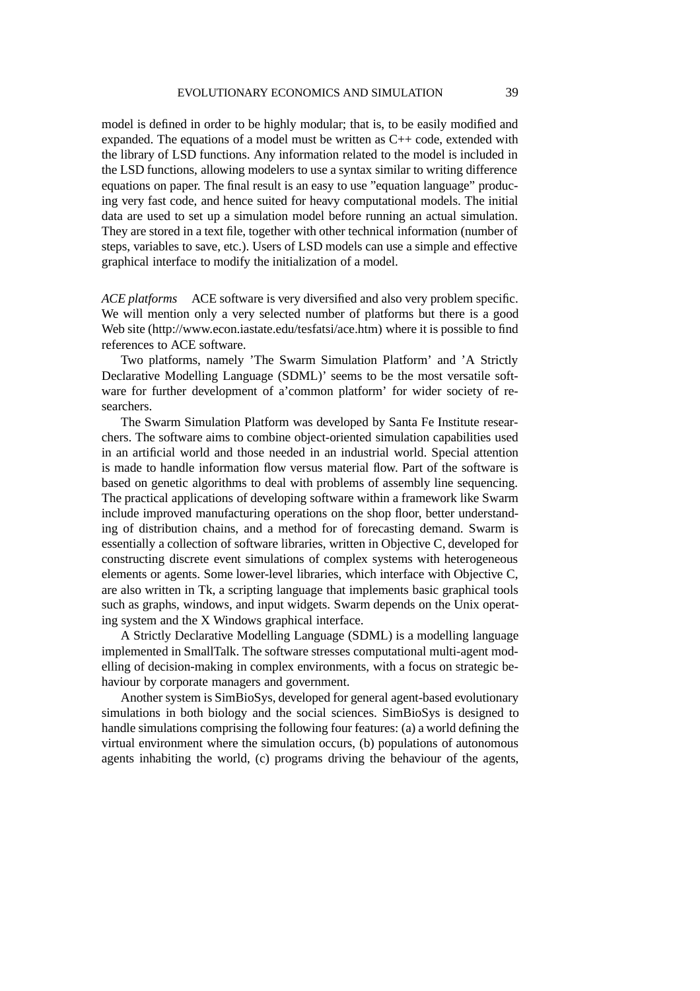model is defined in order to be highly modular; that is, to be easily modified and expanded. The equations of a model must be written as  $C++$  code, extended with the library of LSD functions. Any information related to the model is included in the LSD functions, allowing modelers to use a syntax similar to writing difference equations on paper. The final result is an easy to use "equation language" producing very fast code, and hence suited for heavy computational models. The initial data are used to set up a simulation model before running an actual simulation. They are stored in a text file, together with other technical information (number of steps, variables to save, etc.). Users of LSD models can use a simple and effective graphical interface to modify the initialization of a model.

*ACE platforms* ACE software is very diversified and also very problem specific. We will mention only a very selected number of platforms but there is a good Web site (http://www.econ.iastate.edu/tesfatsi/ace.htm) where it is possible to find references to ACE software.

Two platforms, namely 'The Swarm Simulation Platform' and 'A Strictly Declarative Modelling Language (SDML)' seems to be the most versatile software for further development of a'common platform' for wider society of researchers.

The Swarm Simulation Platform was developed by Santa Fe Institute researchers. The software aims to combine object-oriented simulation capabilities used in an artificial world and those needed in an industrial world. Special attention is made to handle information flow versus material flow. Part of the software is based on genetic algorithms to deal with problems of assembly line sequencing. The practical applications of developing software within a framework like Swarm include improved manufacturing operations on the shop floor, better understanding of distribution chains, and a method for of forecasting demand. Swarm is essentially a collection of software libraries, written in Objective C, developed for constructing discrete event simulations of complex systems with heterogeneous elements or agents. Some lower-level libraries, which interface with Objective C, are also written in Tk, a scripting language that implements basic graphical tools such as graphs, windows, and input widgets. Swarm depends on the Unix operating system and the X Windows graphical interface.

A Strictly Declarative Modelling Language (SDML) is a modelling language implemented in SmallTalk. The software stresses computational multi-agent modelling of decision-making in complex environments, with a focus on strategic behaviour by corporate managers and government.

Another system is SimBioSys, developed for general agent-based evolutionary simulations in both biology and the social sciences. SimBioSys is designed to handle simulations comprising the following four features: (a) a world defining the virtual environment where the simulation occurs, (b) populations of autonomous agents inhabiting the world, (c) programs driving the behaviour of the agents,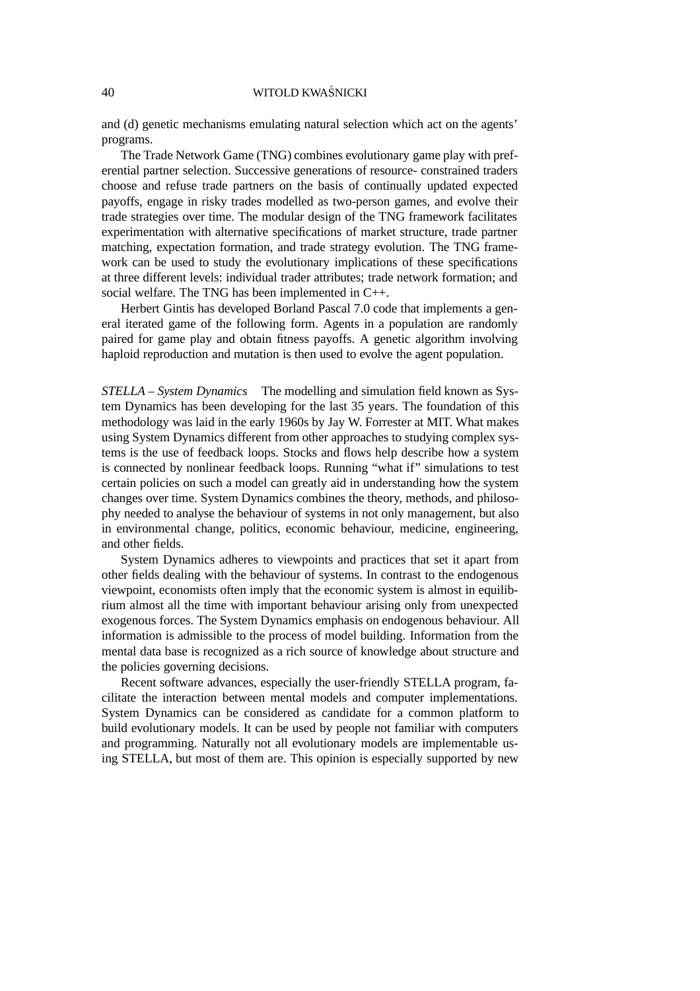and (d) genetic mechanisms emulating natural selection which act on the agents' programs.

The Trade Network Game (TNG) combines evolutionary game play with preferential partner selection. Successive generations of resource- constrained traders choose and refuse trade partners on the basis of continually updated expected payoffs, engage in risky trades modelled as two-person games, and evolve their trade strategies over time. The modular design of the TNG framework facilitates experimentation with alternative specifications of market structure, trade partner matching, expectation formation, and trade strategy evolution. The TNG framework can be used to study the evolutionary implications of these specifications at three different levels: individual trader attributes; trade network formation; and social welfare. The TNG has been implemented in C++.

Herbert Gintis has developed Borland Pascal 7.0 code that implements a general iterated game of the following form. Agents in a population are randomly paired for game play and obtain fitness payoffs. A genetic algorithm involving haploid reproduction and mutation is then used to evolve the agent population.

*STELLA – System Dynamics* The modelling and simulation field known as System Dynamics has been developing for the last 35 years. The foundation of this methodology was laid in the early 1960s by Jay W. Forrester at MIT. What makes using System Dynamics different from other approaches to studying complex systems is the use of feedback loops. Stocks and flows help describe how a system is connected by nonlinear feedback loops. Running "what if" simulations to test certain policies on such a model can greatly aid in understanding how the system changes over time. System Dynamics combines the theory, methods, and philosophy needed to analyse the behaviour of systems in not only management, but also in environmental change, politics, economic behaviour, medicine, engineering, and other fields.

System Dynamics adheres to viewpoints and practices that set it apart from other fields dealing with the behaviour of systems. In contrast to the endogenous viewpoint, economists often imply that the economic system is almost in equilibrium almost all the time with important behaviour arising only from unexpected exogenous forces. The System Dynamics emphasis on endogenous behaviour. All information is admissible to the process of model building. Information from the mental data base is recognized as a rich source of knowledge about structure and the policies governing decisions.

Recent software advances, especially the user-friendly STELLA program, facilitate the interaction between mental models and computer implementations. System Dynamics can be considered as candidate for a common platform to build evolutionary models. It can be used by people not familiar with computers and programming. Naturally not all evolutionary models are implementable using STELLA, but most of them are. This opinion is especially supported by new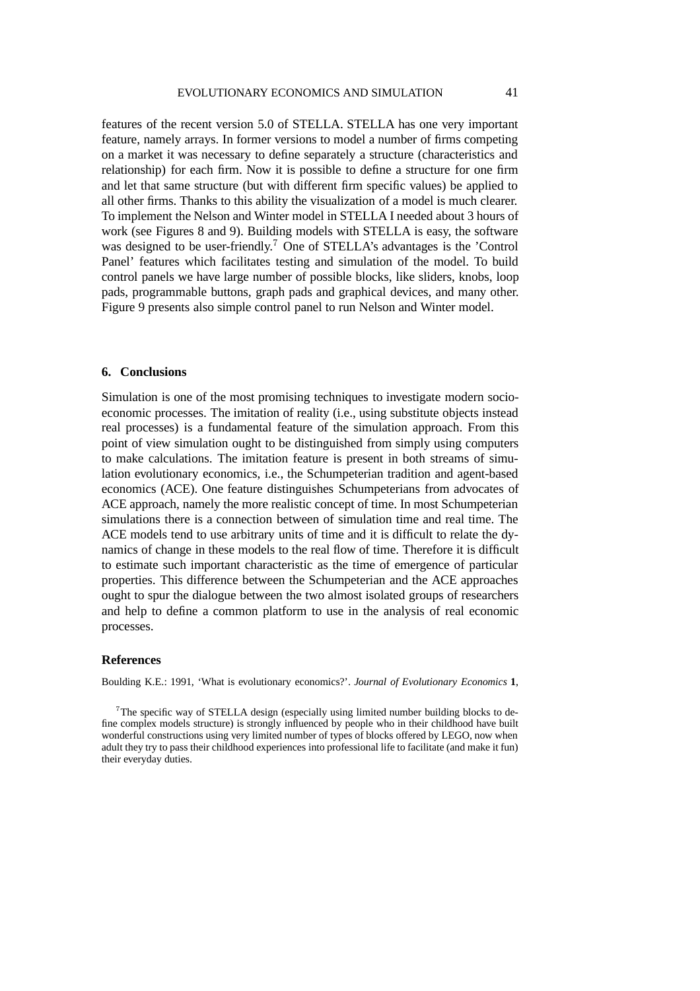features of the recent version 5.0 of STELLA. STELLA has one very important feature, namely arrays. In former versions to model a number of firms competing on a market it was necessary to define separately a structure (characteristics and relationship) for each firm. Now it is possible to define a structure for one firm and let that same structure (but with different firm specific values) be applied to all other firms. Thanks to this ability the visualization of a model is much clearer. To implement the Nelson and Winter model in STELLA I needed about 3 hours of work (see Figures 8 and 9). Building models with STELLA is easy, the software was designed to be user-friendly.<sup>7</sup> One of STELLA's advantages is the 'Control Panel' features which facilitates testing and simulation of the model. To build control panels we have large number of possible blocks, like sliders, knobs, loop pads, programmable buttons, graph pads and graphical devices, and many other. Figure 9 presents also simple control panel to run Nelson and Winter model.

#### **6. Conclusions**

Simulation is one of the most promising techniques to investigate modern socioeconomic processes. The imitation of reality (i.e., using substitute objects instead real processes) is a fundamental feature of the simulation approach. From this point of view simulation ought to be distinguished from simply using computers to make calculations. The imitation feature is present in both streams of simulation evolutionary economics, i.e., the Schumpeterian tradition and agent-based economics (ACE). One feature distinguishes Schumpeterians from advocates of ACE approach, namely the more realistic concept of time. In most Schumpeterian simulations there is a connection between of simulation time and real time. The ACE models tend to use arbitrary units of time and it is difficult to relate the dynamics of change in these models to the real flow of time. Therefore it is difficult to estimate such important characteristic as the time of emergence of particular properties. This difference between the Schumpeterian and the ACE approaches ought to spur the dialogue between the two almost isolated groups of researchers and help to define a common platform to use in the analysis of real economic processes.

#### **References**

Boulding K.E.: 1991, 'What is evolutionary economics?'. *Journal of Evolutionary Economics* **1**,

<sup>7</sup> The specific way of STELLA design (especially using limited number building blocks to define complex models structure) is strongly influenced by people who in their childhood have built wonderful constructions using very limited number of types of blocks offered by LEGO, now when adult they try to pass their childhood experiences into professional life to facilitate (and make it fun) their everyday duties.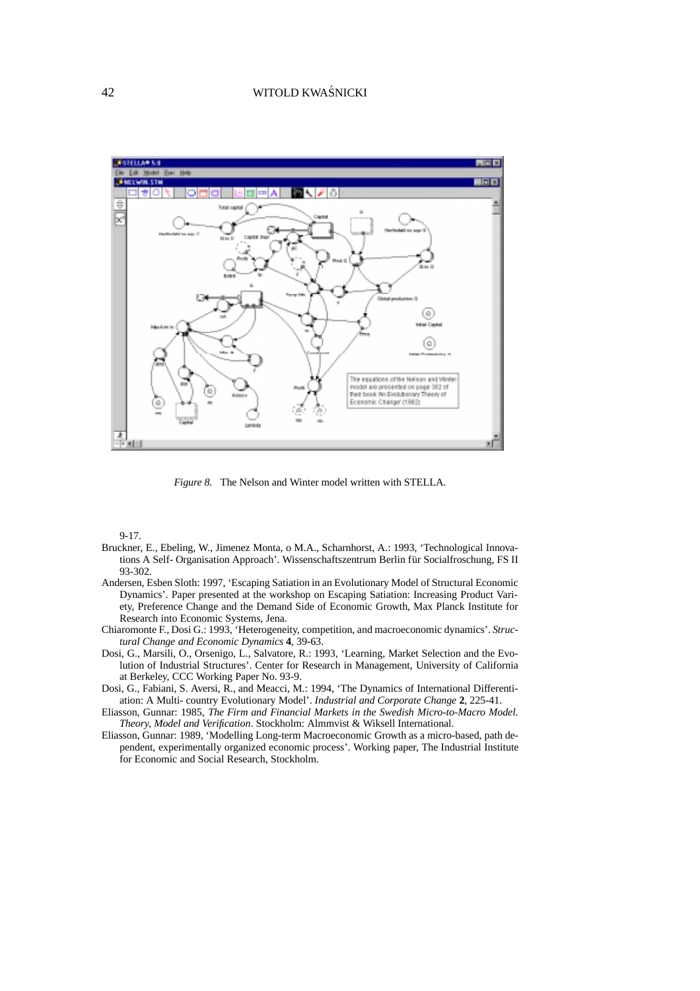

*Figure 8.* The Nelson and Winter model written with STELLA.

9-17.

- Bruckner, E., Ebeling, W., Jimenez Monta, o M.A., Scharnhorst, A.: 1993, 'Technological Innovations A Self- Organisation Approach'. Wissenschaftszentrum Berlin für Socialfroschung, FS II 93-302.
- Andersen, Esben Sloth: 1997, 'Escaping Satiation in an Evolutionary Model of Structural Economic Dynamics'. Paper presented at the workshop on Escaping Satiation: Increasing Product Variety, Preference Change and the Demand Side of Economic Growth, Max Planck Institute for Research into Economic Systems, Jena.
- Chiaromonte F., Dosi G.: 1993, 'Heterogeneity, competition, and macroeconomic dynamics'. *Structural Change and Economic Dynamics* **4**, 39-63.
- Dosi, G., Marsili, O., Orsenigo, L., Salvatore, R.: 1993, 'Learning, Market Selection and the Evolution of Industrial Structures'. Center for Research in Management, University of California at Berkeley, CCC Working Paper No. 93-9.
- Dosi, G., Fabiani, S. Aversi, R., and Meacci, M.: 1994, 'The Dynamics of International Differentiation: A Multi- country Evolutionary Model'. *Industrial and Corporate Change* **2**, 225-41.
- Eliasson, Gunnar: 1985, *The Firm and Financial Markets in the Swedish Micro-to-Macro Model. Theory, Model and Verification*. Stockholm: Almmvist & Wiksell International.
- Eliasson, Gunnar: 1989, 'Modelling Long-term Macroeconomic Growth as a micro-based, path dependent, experimentally organized economic process'. Working paper, The Industrial Institute for Economic and Social Research, Stockholm.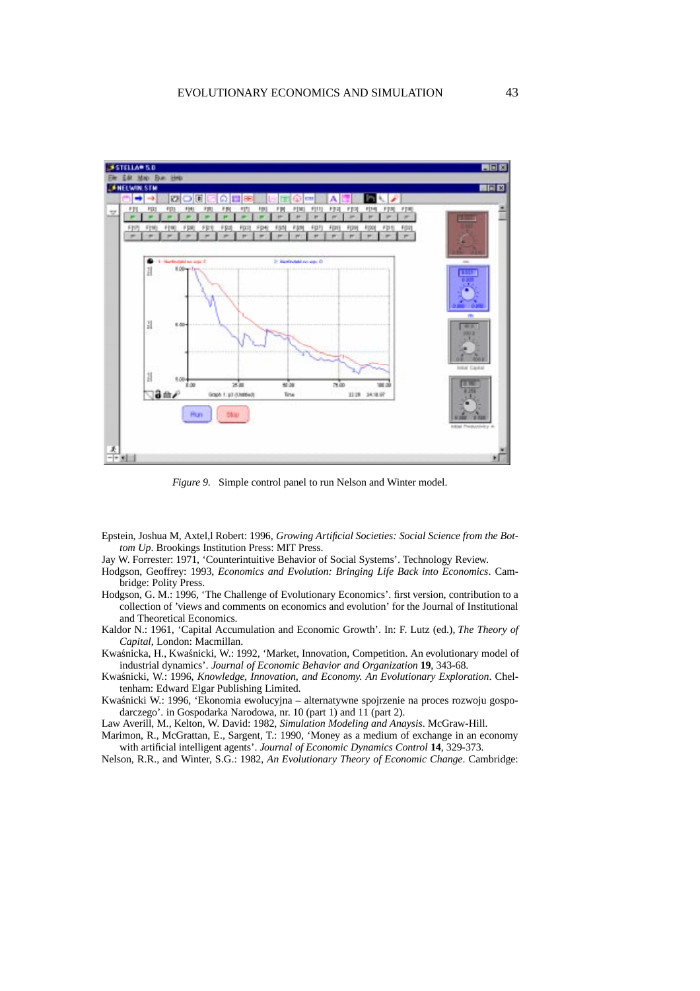

*Figure 9.* Simple control panel to run Nelson and Winter model.

- Epstein, Joshua M, Axtel,l Robert: 1996, *Growing Artificial Societies: Social Science from the Bottom Up*. Brookings Institution Press: MIT Press.
- Jay W. Forrester: 1971, 'Counterintuitive Behavior of Social Systems'. Technology Review.
- Hodgson, Geoffrey: 1993, *Economics and Evolution: Bringing Life Back into Economics*. Cambridge: Polity Press.
- Hodgson, G. M.: 1996, 'The Challenge of Evolutionary Economics'. first version, contribution to a collection of 'views and comments on economics and evolution' for the Journal of Institutional and Theoretical Economics.
- Kaldor N.: 1961, 'Capital Accumulation and Economic Growth'. In: F. Lutz (ed.), *The Theory of Capital*, London: Macmillan.
- Kwaśnicka, H., Kwaśnicki, W.: 1992, 'Market, Innovation, Competition. An evolutionary model of industrial dynamics'. *Journal of Economic Behavior and Organization* **19**, 343-68.
- Kwa´snicki, W.: 1996, *Knowledge, Innovation, and Economy. An Evolutionary Exploration*. Cheltenham: Edward Elgar Publishing Limited.
- Kwaśnicki W.: 1996, 'Ekonomia ewolucyjna alternatywne spojrzenie na proces rozwoju gospodarczego'. in Gospodarka Narodowa, nr. 10 (part 1) and 11 (part 2).

Law Averill, M., Kelton, W. David: 1982, *Simulation Modeling and Anaysis*. McGraw-Hill.

Marimon, R., McGrattan, E., Sargent, T.: 1990, 'Money as a medium of exchange in an economy with artificial intelligent agents'. *Journal of Economic Dynamics Control* **14**, 329-373.

Nelson, R.R., and Winter, S.G.: 1982, *An Evolutionary Theory of Economic Change*. Cambridge: